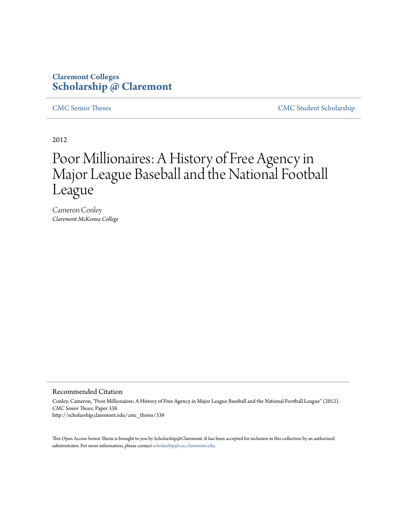## **Claremont Colleges [Scholarship @ Claremont](http://scholarship.claremont.edu)**

[CMC Senior Theses](http://scholarship.claremont.edu/cmc_theses) [CMC Student Scholarship](http://scholarship.claremont.edu/cmc_student)

2012

# Poor Millionaires: A History of Free Agency in Major League Baseball and the National Football League

Cameron Conley *Claremont McKenna College*

#### Recommended Citation

Conley, Cameron, "Poor Millionaires: A History of Free Agency in Major League Baseball and the National Football League" (2012). *CMC Senior Theses.* Paper 338. http://scholarship.claremont.edu/cmc\_theses/338

This Open Access Senior Thesis is brought to you by Scholarship@Claremont. It has been accepted for inclusion in this collection by an authorized administrator. For more information, please contact [scholarship@cuc.claremont.edu.](mailto:scholarship@cuc.claremont.edu)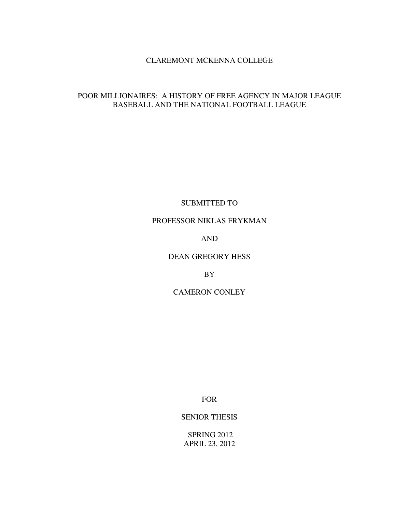## CLAREMONT MCKENNA COLLEGE

## POOR MILLIONAIRES: A HISTORY OF FREE AGENCY IN MAJOR LEAGUE BASEBALL AND THE NATIONAL FOOTBALL LEAGUE

SUBMITTED TO

PROFESSOR NIKLAS FRYKMAN

AND

DEAN GREGORY HESS

BY

CAMERON CONLEY

FOR

SENIOR THESIS

 SPRING 2012 APRIL 23, 2012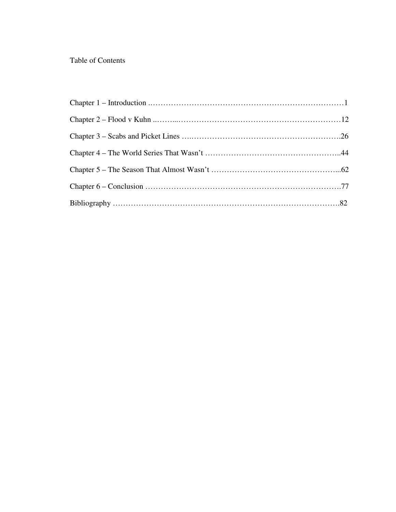## Table of Contents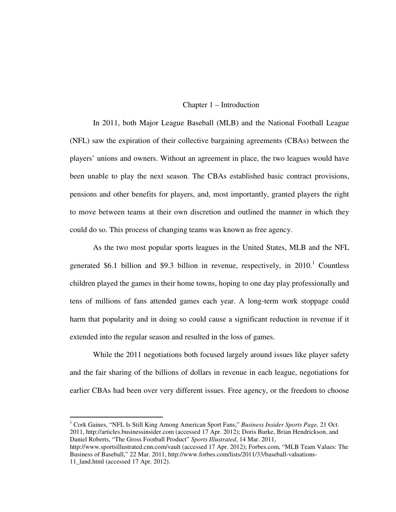#### Chapter 1 – Introduction

In 2011, both Major League Baseball (MLB) and the National Football League (NFL) saw the expiration of their collective bargaining agreements (CBAs) between the players' unions and owners. Without an agreement in place, the two leagues would have been unable to play the next season. The CBAs established basic contract provisions, pensions and other benefits for players, and, most importantly, granted players the right to move between teams at their own discretion and outlined the manner in which they could do so. This process of changing teams was known as free agency.

As the two most popular sports leagues in the United States, MLB and the NFL generated \$6.1 billion and \$9.3 billion in revenue, respectively, in  $2010$ .<sup>1</sup> Countless children played the games in their home towns, hoping to one day play professionally and tens of millions of fans attended games each year. A long-term work stoppage could harm that popularity and in doing so could cause a significant reduction in revenue if it extended into the regular season and resulted in the loss of games.

While the 2011 negotiations both focused largely around issues like player safety and the fair sharing of the billions of dollars in revenue in each league, negotiations for earlier CBAs had been over very different issues. Free agency, or the freedom to choose

<sup>1</sup> Cork Gaines, "NFL Is Still King Among American Sport Fans," Business Insider Sports Page, 21 Oct. 2011, http://articles.businessinsider.com (accessed 17 Apr. 2012); Doris Burke, Brian Hendrickson, and Daniel Roberts, "The Gross Football Product" *Sports Illustrated*, 14 Mar. 2011, http://www.sportsillustrated.cnn.com/vault (accessed 17 Apr. 2012); Forbes.com, "MLB Team Values: The Business of Baseball," 22 Mar. 2011, http://www.forbes.com/lists/2011/33/baseball-valuations-

-

<sup>11</sup>\_land.html (accessed 17 Apr. 2012).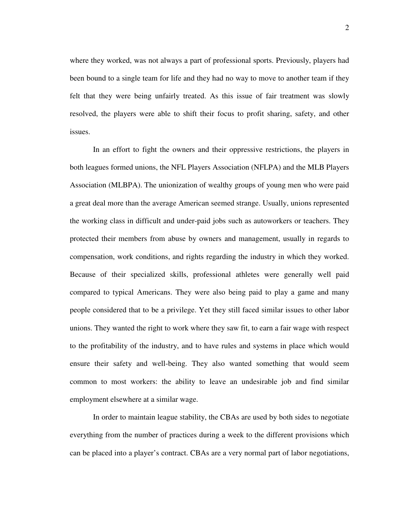where they worked, was not always a part of professional sports. Previously, players had been bound to a single team for life and they had no way to move to another team if they felt that they were being unfairly treated. As this issue of fair treatment was slowly resolved, the players were able to shift their focus to profit sharing, safety, and other issues.

In an effort to fight the owners and their oppressive restrictions, the players in both leagues formed unions, the NFL Players Association (NFLPA) and the MLB Players Association (MLBPA). The unionization of wealthy groups of young men who were paid a great deal more than the average American seemed strange. Usually, unions represented the working class in difficult and under-paid jobs such as autoworkers or teachers. They protected their members from abuse by owners and management, usually in regards to compensation, work conditions, and rights regarding the industry in which they worked. Because of their specialized skills, professional athletes were generally well paid compared to typical Americans. They were also being paid to play a game and many people considered that to be a privilege. Yet they still faced similar issues to other labor unions. They wanted the right to work where they saw fit, to earn a fair wage with respect to the profitability of the industry, and to have rules and systems in place which would ensure their safety and well-being. They also wanted something that would seem common to most workers: the ability to leave an undesirable job and find similar employment elsewhere at a similar wage.

In order to maintain league stability, the CBAs are used by both sides to negotiate everything from the number of practices during a week to the different provisions which can be placed into a player's contract. CBAs are a very normal part of labor negotiations,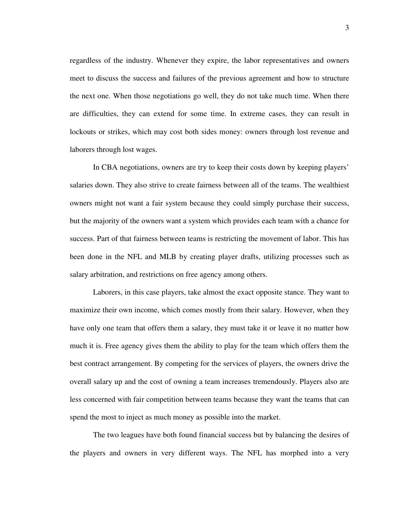regardless of the industry. Whenever they expire, the labor representatives and owners meet to discuss the success and failures of the previous agreement and how to structure the next one. When those negotiations go well, they do not take much time. When there are difficulties, they can extend for some time. In extreme cases, they can result in lockouts or strikes, which may cost both sides money: owners through lost revenue and laborers through lost wages.

In CBA negotiations, owners are try to keep their costs down by keeping players' salaries down. They also strive to create fairness between all of the teams. The wealthiest owners might not want a fair system because they could simply purchase their success, but the majority of the owners want a system which provides each team with a chance for success. Part of that fairness between teams is restricting the movement of labor. This has been done in the NFL and MLB by creating player drafts, utilizing processes such as salary arbitration, and restrictions on free agency among others.

Laborers, in this case players, take almost the exact opposite stance. They want to maximize their own income, which comes mostly from their salary. However, when they have only one team that offers them a salary, they must take it or leave it no matter how much it is. Free agency gives them the ability to play for the team which offers them the best contract arrangement. By competing for the services of players, the owners drive the overall salary up and the cost of owning a team increases tremendously. Players also are less concerned with fair competition between teams because they want the teams that can spend the most to inject as much money as possible into the market.

The two leagues have both found financial success but by balancing the desires of the players and owners in very different ways. The NFL has morphed into a very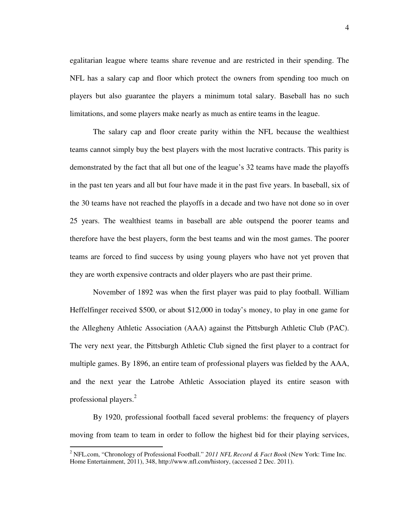egalitarian league where teams share revenue and are restricted in their spending. The NFL has a salary cap and floor which protect the owners from spending too much on players but also guarantee the players a minimum total salary. Baseball has no such limitations, and some players make nearly as much as entire teams in the league.

The salary cap and floor create parity within the NFL because the wealthiest teams cannot simply buy the best players with the most lucrative contracts. This parity is demonstrated by the fact that all but one of the league's 32 teams have made the playoffs in the past ten years and all but four have made it in the past five years. In baseball, six of the 30 teams have not reached the playoffs in a decade and two have not done so in over 25 years. The wealthiest teams in baseball are able outspend the poorer teams and therefore have the best players, form the best teams and win the most games. The poorer teams are forced to find success by using young players who have not yet proven that they are worth expensive contracts and older players who are past their prime.

November of 1892 was when the first player was paid to play football. William Heffelfinger received \$500, or about \$12,000 in today's money, to play in one game for the Allegheny Athletic Association (AAA) against the Pittsburgh Athletic Club (PAC). The very next year, the Pittsburgh Athletic Club signed the first player to a contract for multiple games. By 1896, an entire team of professional players was fielded by the AAA, and the next year the Latrobe Athletic Association played its entire season with professional players.<sup>2</sup>

By 1920, professional football faced several problems: the frequency of players moving from team to team in order to follow the highest bid for their playing services,

 2 NFL.com, "Chronology of Professional Football." *2011 NFL Record & Fact Book* (New York: Time Inc. Home Entertainment, 2011), 348, http://www.nfl.com/history, (accessed 2 Dec. 2011).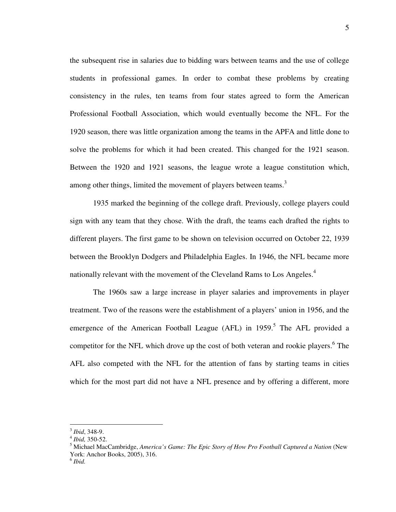the subsequent rise in salaries due to bidding wars between teams and the use of college students in professional games. In order to combat these problems by creating consistency in the rules, ten teams from four states agreed to form the American Professional Football Association, which would eventually become the NFL. For the 1920 season, there was little organization among the teams in the APFA and little done to solve the problems for which it had been created. This changed for the 1921 season. Between the 1920 and 1921 seasons, the league wrote a league constitution which, among other things, limited the movement of players between teams.<sup>3</sup>

1935 marked the beginning of the college draft. Previously, college players could sign with any team that they chose. With the draft, the teams each drafted the rights to different players. The first game to be shown on television occurred on October 22, 1939 between the Brooklyn Dodgers and Philadelphia Eagles. In 1946, the NFL became more nationally relevant with the movement of the Cleveland Rams to Los Angeles.<sup>4</sup>

The 1960s saw a large increase in player salaries and improvements in player treatment. Two of the reasons were the establishment of a players' union in 1956, and the emergence of the American Football League (AFL) in 1959.<sup>5</sup> The AFL provided a competitor for the NFL which drove up the cost of both veteran and rookie players.<sup>6</sup> The AFL also competed with the NFL for the attention of fans by starting teams in cities which for the most part did not have a NFL presence and by offering a different, more

<sup>3</sup> *Ibid*, 348-9.

<sup>4</sup> *Ibid,* 350-52.

<sup>5</sup> Michael MacCambridge, *America's Game: The Epic Story of How Pro Football Captured a Nation* (New York: Anchor Books, 2005), 316.

<sup>6</sup> *Ibid.*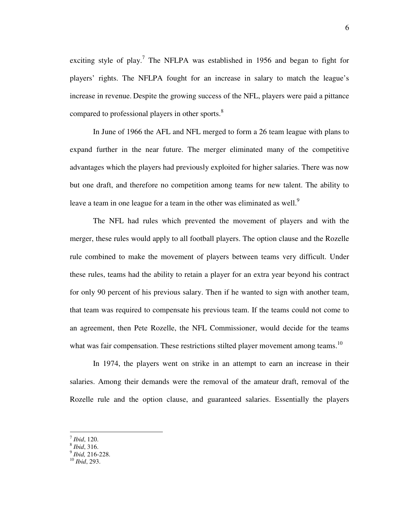exciting style of play.<sup>7</sup> The NFLPA was established in 1956 and began to fight for players' rights. The NFLPA fought for an increase in salary to match the league's increase in revenue. Despite the growing success of the NFL, players were paid a pittance compared to professional players in other sports.<sup>8</sup>

In June of 1966 the AFL and NFL merged to form a 26 team league with plans to expand further in the near future. The merger eliminated many of the competitive advantages which the players had previously exploited for higher salaries. There was now but one draft, and therefore no competition among teams for new talent. The ability to leave a team in one league for a team in the other was eliminated as well.<sup>9</sup>

The NFL had rules which prevented the movement of players and with the merger, these rules would apply to all football players. The option clause and the Rozelle rule combined to make the movement of players between teams very difficult. Under these rules, teams had the ability to retain a player for an extra year beyond his contract for only 90 percent of his previous salary. Then if he wanted to sign with another team, that team was required to compensate his previous team. If the teams could not come to an agreement, then Pete Rozelle, the NFL Commissioner, would decide for the teams what was fair compensation. These restrictions stilted player movement among teams.<sup>10</sup>

In 1974, the players went on strike in an attempt to earn an increase in their salaries. Among their demands were the removal of the amateur draft, removal of the Rozelle rule and the option clause, and guaranteed salaries. Essentially the players

<sup>7</sup> *Ibid*, 120.

<sup>8</sup> *Ibid*, 316.

<sup>9</sup> *Ibid,* 216-228.

<sup>10</sup> *Ibid*, 293.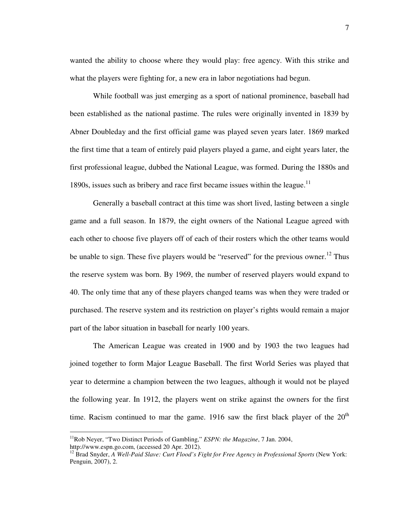wanted the ability to choose where they would play: free agency. With this strike and what the players were fighting for, a new era in labor negotiations had begun.

While football was just emerging as a sport of national prominence, baseball had been established as the national pastime. The rules were originally invented in 1839 by Abner Doubleday and the first official game was played seven years later. 1869 marked the first time that a team of entirely paid players played a game, and eight years later, the first professional league, dubbed the National League, was formed. During the 1880s and 1890s, issues such as bribery and race first became issues within the league.<sup>11</sup>

Generally a baseball contract at this time was short lived, lasting between a single game and a full season. In 1879, the eight owners of the National League agreed with each other to choose five players off of each of their rosters which the other teams would be unable to sign. These five players would be "reserved" for the previous owner.<sup>12</sup> Thus the reserve system was born. By 1969, the number of reserved players would expand to 40. The only time that any of these players changed teams was when they were traded or purchased. The reserve system and its restriction on player's rights would remain a major part of the labor situation in baseball for nearly 100 years.

The American League was created in 1900 and by 1903 the two leagues had joined together to form Major League Baseball. The first World Series was played that year to determine a champion between the two leagues, although it would not be played the following year. In 1912, the players went on strike against the owners for the first time. Racism continued to mar the game. 1916 saw the first black player of the  $20<sup>th</sup>$ 

<sup>&</sup>lt;sup>11</sup>Rob Neyer, "Two Distinct Periods of Gambling," *ESPN: the Magazine*, 7 Jan. 2004, http://www.espn.go.com, (accessed 20 Apr. 2012).

<sup>&</sup>lt;sup>12</sup> Brad Snyder, *A Well-Paid Slave: Curt Flood's Fight for Free Agency in Professional Sports* (New York: Penguin, 2007), 2.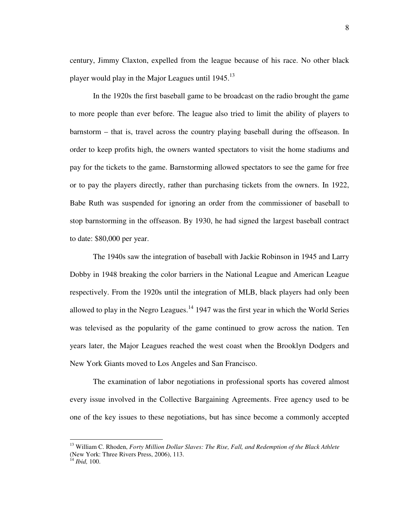century, Jimmy Claxton, expelled from the league because of his race. No other black player would play in the Major Leagues until 1945.<sup>13</sup>

In the 1920s the first baseball game to be broadcast on the radio brought the game to more people than ever before. The league also tried to limit the ability of players to barnstorm – that is, travel across the country playing baseball during the offseason. In order to keep profits high, the owners wanted spectators to visit the home stadiums and pay for the tickets to the game. Barnstorming allowed spectators to see the game for free or to pay the players directly, rather than purchasing tickets from the owners. In 1922, Babe Ruth was suspended for ignoring an order from the commissioner of baseball to stop barnstorming in the offseason. By 1930, he had signed the largest baseball contract to date: \$80,000 per year.

The 1940s saw the integration of baseball with Jackie Robinson in 1945 and Larry Dobby in 1948 breaking the color barriers in the National League and American League respectively. From the 1920s until the integration of MLB, black players had only been allowed to play in the Negro Leagues.<sup>14</sup> 1947 was the first year in which the World Series was televised as the popularity of the game continued to grow across the nation. Ten years later, the Major Leagues reached the west coast when the Brooklyn Dodgers and New York Giants moved to Los Angeles and San Francisco.

The examination of labor negotiations in professional sports has covered almost every issue involved in the Collective Bargaining Agreements. Free agency used to be one of the key issues to these negotiations, but has since become a commonly accepted

<sup>13</sup> William C. Rhoden, *Forty Million Dollar Slaves: The Rise, Fall, and Redemption of the Black Athlete* (New York: Three Rivers Press, 2006), 113.

<sup>14</sup> *Ibid,* 100.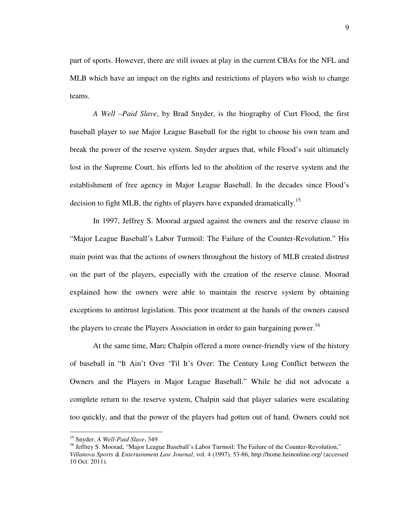part of sports. However, there are still issues at play in the current CBAs for the NFL and MLB which have an impact on the rights and restrictions of players who wish to change teams.

*A Well –Paid Slave*, by Brad Snyder, is the biography of Curt Flood, the first baseball player to sue Major League Baseball for the right to choose his own team and break the power of the reserve system. Snyder argues that, while Flood's suit ultimately lost in the Supreme Court, his efforts led to the abolition of the reserve system and the establishment of free agency in Major League Baseball. In the decades since Flood's decision to fight MLB, the rights of players have expanded dramatically.<sup>15</sup>

In 1997, Jeffrey S. Moorad argued against the owners and the reserve clause in "Major League Baseball's Labor Turmoil: The Failure of the Counter-Revolution." His main point was that the actions of owners throughout the history of MLB created distrust on the part of the players, especially with the creation of the reserve clause. Moorad explained how the owners were able to maintain the reserve system by obtaining exceptions to antitrust legislation. This poor treatment at the hands of the owners caused the players to create the Players Association in order to gain bargaining power.<sup>16</sup>

At the same time, Marc Chalpin offered a more owner-friendly view of the history of baseball in "It Ain't Over 'Til It's Over: The Century Long Conflict between the Owners and the Players in Major League Baseball." While he did not advocate a complete return to the reserve system, Chalpin said that player salaries were escalating too quickly, and that the power of the players had gotten out of hand. Owners could not

<u>.</u>

<sup>15</sup> Snyder, *A Well-Paid Slave*, 349.

<sup>&</sup>lt;sup>16</sup> Jeffrey S. Moorad, "Major League Baseball's Labor Turmoil: The Failure of the Counter-Revolution," *Villanova Sports & Entertainment Law Journal*, vol. 4 (1997), 53-86, http://home.heinonline.org/ (accessed 10 Oct. 2011).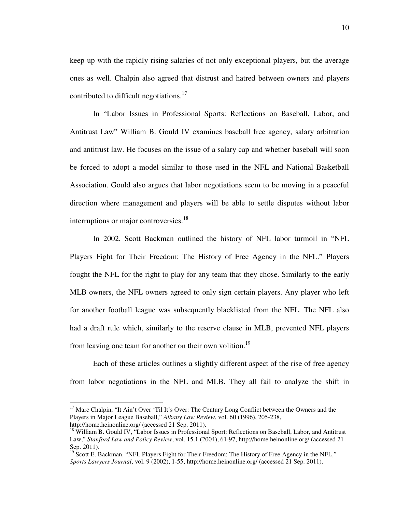keep up with the rapidly rising salaries of not only exceptional players, but the average ones as well. Chalpin also agreed that distrust and hatred between owners and players contributed to difficult negotiations.<sup>17</sup>

In "Labor Issues in Professional Sports: Reflections on Baseball, Labor, and Antitrust Law" William B. Gould IV examines baseball free agency, salary arbitration and antitrust law. He focuses on the issue of a salary cap and whether baseball will soon be forced to adopt a model similar to those used in the NFL and National Basketball Association. Gould also argues that labor negotiations seem to be moving in a peaceful direction where management and players will be able to settle disputes without labor interruptions or major controversies.<sup>18</sup>

In 2002, Scott Backman outlined the history of NFL labor turmoil in "NFL Players Fight for Their Freedom: The History of Free Agency in the NFL." Players fought the NFL for the right to play for any team that they chose. Similarly to the early MLB owners, the NFL owners agreed to only sign certain players. Any player who left for another football league was subsequently blacklisted from the NFL. The NFL also had a draft rule which, similarly to the reserve clause in MLB, prevented NFL players from leaving one team for another on their own volition.<sup>19</sup>

Each of these articles outlines a slightly different aspect of the rise of free agency from labor negotiations in the NFL and MLB. They all fail to analyze the shift in

<sup>&</sup>lt;sup>17</sup> Marc Chalpin, "It Ain't Over 'Til It's Over: The Century Long Conflict between the Owners and the Players in Major League Baseball," *Albany Law Review*, vol. 60 (1996), 205-238, http://home.heinonline.org/ (accessed 21 Sep. 2011).

<sup>&</sup>lt;sup>18</sup> William B. Gould IV, "Labor Issues in Professional Sport: Reflections on Baseball, Labor, and Antitrust Law," *Stanford Law and Policy Review*, vol. 15.1 (2004), 61-97, http://home.heinonline.org/ (accessed 21 Sep. 2011).

<sup>&</sup>lt;sup>19</sup> Scott E. Backman, "NFL Players Fight for Their Freedom: The History of Free Agency in the NFL," *Sports Lawyers Journal*, vol. 9 (2002), 1-55, http://home.heinonline.org/ (accessed 21 Sep. 2011).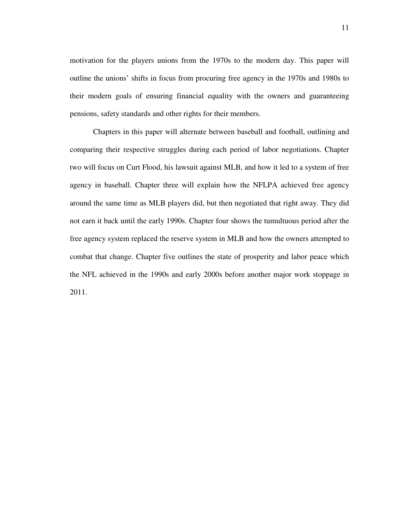motivation for the players unions from the 1970s to the modern day. This paper will outline the unions' shifts in focus from procuring free agency in the 1970s and 1980s to their modern goals of ensuring financial equality with the owners and guaranteeing pensions, safety standards and other rights for their members.

Chapters in this paper will alternate between baseball and football, outlining and comparing their respective struggles during each period of labor negotiations. Chapter two will focus on Curt Flood, his lawsuit against MLB, and how it led to a system of free agency in baseball. Chapter three will explain how the NFLPA achieved free agency around the same time as MLB players did, but then negotiated that right away. They did not earn it back until the early 1990s. Chapter four shows the tumultuous period after the free agency system replaced the reserve system in MLB and how the owners attempted to combat that change. Chapter five outlines the state of prosperity and labor peace which the NFL achieved in the 1990s and early 2000s before another major work stoppage in 2011.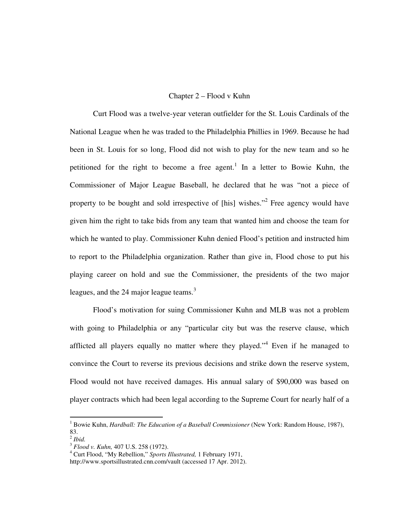### Chapter 2 – Flood v Kuhn

 Curt Flood was a twelve-year veteran outfielder for the St. Louis Cardinals of the National League when he was traded to the Philadelphia Phillies in 1969. Because he had been in St. Louis for so long, Flood did not wish to play for the new team and so he petitioned for the right to become a free agent.<sup>1</sup> In a letter to Bowie Kuhn, the Commissioner of Major League Baseball, he declared that he was "not a piece of property to be bought and sold irrespective of [his] wishes."<sup>2</sup> Free agency would have given him the right to take bids from any team that wanted him and choose the team for which he wanted to play. Commissioner Kuhn denied Flood's petition and instructed him to report to the Philadelphia organization. Rather than give in, Flood chose to put his playing career on hold and sue the Commissioner, the presidents of the two major leagues, and the 24 major league teams. $3$ 

 Flood's motivation for suing Commissioner Kuhn and MLB was not a problem with going to Philadelphia or any "particular city but was the reserve clause, which afflicted all players equally no matter where they played."<sup>4</sup> Even if he managed to convince the Court to reverse its previous decisions and strike down the reserve system, Flood would not have received damages. His annual salary of \$90,000 was based on player contracts which had been legal according to the Supreme Court for nearly half of a

<sup>&</sup>lt;sup>1</sup> Bowie Kuhn, *Hardball: The Education of a Baseball Commissioner* (New York: Random House, 1987), 83.

<sup>2</sup> *Ibid.* 

<sup>3</sup> *Flood v. Kuhn,* 407 U.S. 258 (1972).

<sup>4</sup> Curt Flood, "My Rebellion," *Sports Illustrated,* 1 February 1971,

http://www.sportsillustrated.cnn.com/vault (accessed 17 Apr. 2012).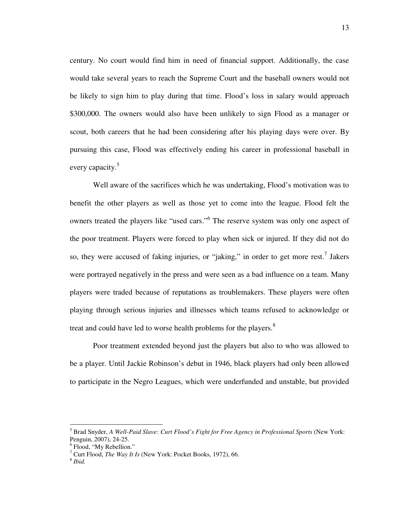century. No court would find him in need of financial support. Additionally, the case would take several years to reach the Supreme Court and the baseball owners would not be likely to sign him to play during that time. Flood's loss in salary would approach \$300,000. The owners would also have been unlikely to sign Flood as a manager or scout, both careers that he had been considering after his playing days were over. By pursuing this case, Flood was effectively ending his career in professional baseball in every capacity.<sup>5</sup>

 Well aware of the sacrifices which he was undertaking, Flood's motivation was to benefit the other players as well as those yet to come into the league. Flood felt the owners treated the players like "used cars."<sup>6</sup> The reserve system was only one aspect of the poor treatment. Players were forced to play when sick or injured. If they did not do so, they were accused of faking injuries, or "jaking," in order to get more rest.<sup>7</sup> Jakers were portrayed negatively in the press and were seen as a bad influence on a team. Many players were traded because of reputations as troublemakers. These players were often playing through serious injuries and illnesses which teams refused to acknowledge or treat and could have led to worse health problems for the players.<sup>8</sup>

 Poor treatment extended beyond just the players but also to who was allowed to be a player. Until Jackie Robinson's debut in 1946, black players had only been allowed to participate in the Negro Leagues, which were underfunded and unstable, but provided

-

<sup>5</sup> Brad Snyder, *A Well-Paid Slave: Curt Flood's Fight for Free Agency in Professional Sports* (New York: Penguin, 2007), 24-25.

<sup>&</sup>lt;sup>6</sup> Flood, "My Rebellion."

<sup>7</sup> Curt Flood, *The Way It Is* (New York: Pocket Books, 1972), 66.

<sup>8</sup> *Ibid.*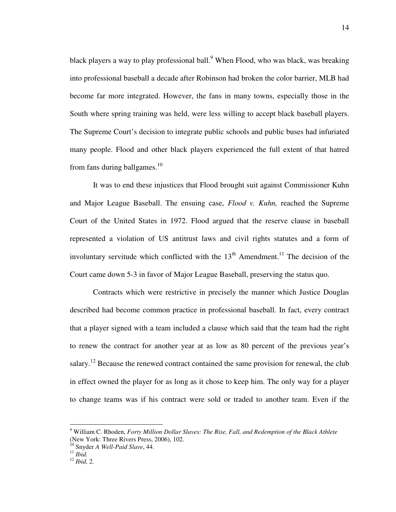black players a way to play professional ball.<sup>9</sup> When Flood, who was black, was breaking into professional baseball a decade after Robinson had broken the color barrier, MLB had become far more integrated. However, the fans in many towns, especially those in the South where spring training was held, were less willing to accept black baseball players. The Supreme Court's decision to integrate public schools and public buses had infuriated many people. Flood and other black players experienced the full extent of that hatred from fans during ballgames. $10<sup>10</sup>$ 

 It was to end these injustices that Flood brought suit against Commissioner Kuhn and Major League Baseball. The ensuing case, *Flood v. Kuhn,* reached the Supreme Court of the United States in 1972. Flood argued that the reserve clause in baseball represented a violation of US antitrust laws and civil rights statutes and a form of involuntary servitude which conflicted with the  $13<sup>th</sup>$  Amendment.<sup>11</sup> The decision of the Court came down 5-3 in favor of Major League Baseball, preserving the status quo.

Contracts which were restrictive in precisely the manner which Justice Douglas described had become common practice in professional baseball. In fact, every contract that a player signed with a team included a clause which said that the team had the right to renew the contract for another year at as low as 80 percent of the previous year's salary.<sup>12</sup> Because the renewed contract contained the same provision for renewal, the club in effect owned the player for as long as it chose to keep him. The only way for a player to change teams was if his contract were sold or traded to another team. Even if the

<sup>9</sup> William C. Rhoden, *Forty Million Dollar Slaves: The Rise, Fall, and Redemption of the Black Athlete* (New York: Three Rivers Press, 2006), 102.

<sup>10</sup> Snyder *A Well-Paid Slave*, 44.

<sup>11</sup> *Ibid.*

<sup>12</sup> *Ibid,* 2.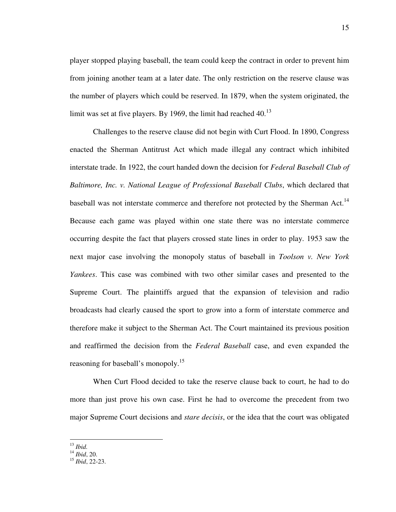player stopped playing baseball, the team could keep the contract in order to prevent him from joining another team at a later date. The only restriction on the reserve clause was the number of players which could be reserved. In 1879, when the system originated, the limit was set at five players. By 1969, the limit had reached  $40<sup>13</sup>$ 

Challenges to the reserve clause did not begin with Curt Flood. In 1890, Congress enacted the Sherman Antitrust Act which made illegal any contract which inhibited interstate trade. In 1922, the court handed down the decision for *Federal Baseball Club of Baltimore, Inc. v. National League of Professional Baseball Clubs*, which declared that baseball was not interstate commerce and therefore not protected by the Sherman Act.<sup>14</sup> Because each game was played within one state there was no interstate commerce occurring despite the fact that players crossed state lines in order to play. 1953 saw the next major case involving the monopoly status of baseball in *Toolson v. New York Yankees*. This case was combined with two other similar cases and presented to the Supreme Court. The plaintiffs argued that the expansion of television and radio broadcasts had clearly caused the sport to grow into a form of interstate commerce and therefore make it subject to the Sherman Act. The Court maintained its previous position and reaffirmed the decision from the *Federal Baseball* case, and even expanded the reasoning for baseball's monopoly.<sup>15</sup>

When Curt Flood decided to take the reserve clause back to court, he had to do more than just prove his own case. First he had to overcome the precedent from two major Supreme Court decisions and *stare decisis*, or the idea that the court was obligated

<sup>13</sup> *Ibid.*

<sup>14</sup> *Ibid*, 20.

<sup>15</sup> *Ibid*, 22-23.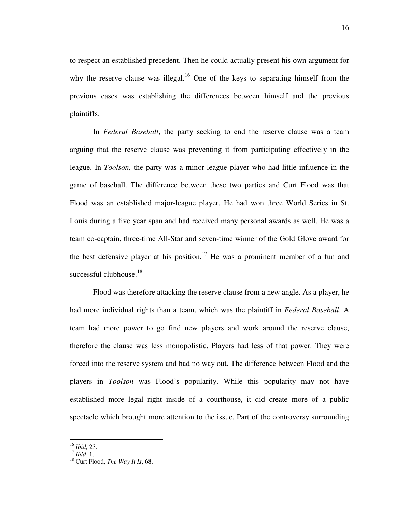to respect an established precedent. Then he could actually present his own argument for why the reserve clause was illegal.<sup>16</sup> One of the keys to separating himself from the previous cases was establishing the differences between himself and the previous plaintiffs.

In *Federal Baseball*, the party seeking to end the reserve clause was a team arguing that the reserve clause was preventing it from participating effectively in the league. In *Toolson,* the party was a minor-league player who had little influence in the game of baseball. The difference between these two parties and Curt Flood was that Flood was an established major-league player. He had won three World Series in St. Louis during a five year span and had received many personal awards as well. He was a team co-captain, three-time All-Star and seven-time winner of the Gold Glove award for the best defensive player at his position.<sup>17</sup> He was a prominent member of a fun and successful clubhouse.<sup>18</sup>

Flood was therefore attacking the reserve clause from a new angle. As a player, he had more individual rights than a team, which was the plaintiff in *Federal Baseball*. A team had more power to go find new players and work around the reserve clause, therefore the clause was less monopolistic. Players had less of that power. They were forced into the reserve system and had no way out. The difference between Flood and the players in *Toolson* was Flood's popularity. While this popularity may not have established more legal right inside of a courthouse, it did create more of a public spectacle which brought more attention to the issue. Part of the controversy surrounding

<u>.</u>

<sup>16</sup> *Ibid,* 23.

<sup>17</sup> *Ibid*, 1.

<sup>18</sup> Curt Flood, *The Way It Is*, 68.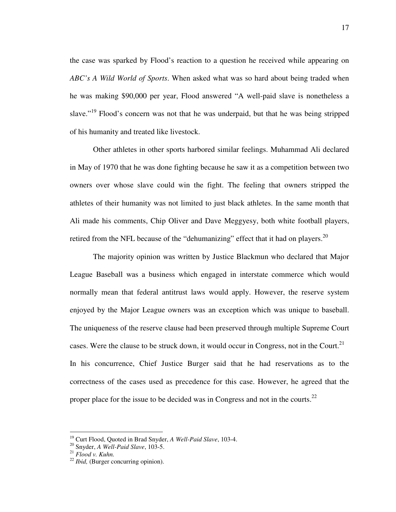the case was sparked by Flood's reaction to a question he received while appearing on *ABC's A Wild World of Sports*. When asked what was so hard about being traded when he was making \$90,000 per year, Flood answered "A well-paid slave is nonetheless a slave."<sup>19</sup> Flood's concern was not that he was underpaid, but that he was being stripped of his humanity and treated like livestock.

Other athletes in other sports harbored similar feelings. Muhammad Ali declared in May of 1970 that he was done fighting because he saw it as a competition between two owners over whose slave could win the fight. The feeling that owners stripped the athletes of their humanity was not limited to just black athletes. In the same month that Ali made his comments, Chip Oliver and Dave Meggyesy, both white football players, retired from the NFL because of the "dehumanizing" effect that it had on players.<sup>20</sup>

The majority opinion was written by Justice Blackmun who declared that Major League Baseball was a business which engaged in interstate commerce which would normally mean that federal antitrust laws would apply. However, the reserve system enjoyed by the Major League owners was an exception which was unique to baseball. The uniqueness of the reserve clause had been preserved through multiple Supreme Court cases. Were the clause to be struck down, it would occur in Congress, not in the Court.<sup>21</sup> In his concurrence, Chief Justice Burger said that he had reservations as to the correctness of the cases used as precedence for this case. However, he agreed that the proper place for the issue to be decided was in Congress and not in the courts.<sup>22</sup>

<sup>19</sup> Curt Flood, Quoted in Brad Snyder, *A Well-Paid Slave*, 103-4.

<sup>20</sup> Snyder, *A Well-Paid Slave*, 103-5.

<sup>21</sup> *Flood v. Kuhn.*

<sup>22</sup> *Ibid,* (Burger concurring opinion).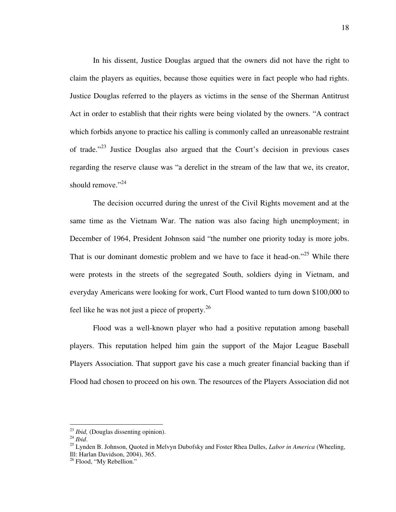In his dissent, Justice Douglas argued that the owners did not have the right to claim the players as equities, because those equities were in fact people who had rights. Justice Douglas referred to the players as victims in the sense of the Sherman Antitrust Act in order to establish that their rights were being violated by the owners. "A contract which forbids anyone to practice his calling is commonly called an unreasonable restraint of trade."<sup>23</sup> Justice Douglas also argued that the Court's decision in previous cases regarding the reserve clause was "a derelict in the stream of the law that we, its creator, should remove."<sup>24</sup>

 The decision occurred during the unrest of the Civil Rights movement and at the same time as the Vietnam War. The nation was also facing high unemployment; in December of 1964, President Johnson said "the number one priority today is more jobs. That is our dominant domestic problem and we have to face it head-on."<sup>25</sup> While there were protests in the streets of the segregated South, soldiers dying in Vietnam, and everyday Americans were looking for work, Curt Flood wanted to turn down \$100,000 to feel like he was not just a piece of property.<sup>26</sup>

 Flood was a well-known player who had a positive reputation among baseball players. This reputation helped him gain the support of the Major League Baseball Players Association. That support gave his case a much greater financial backing than if Flood had chosen to proceed on his own. The resources of the Players Association did not

<sup>23</sup> *Ibid,* (Douglas dissenting opinion).

<sup>24</sup> *Ibid*.

<sup>25</sup> Lynden B. Johnson, Quoted in Melvyn Dubofsky and Foster Rhea Dulles, *Labor in America* (Wheeling, Ill: Harlan Davidson, 2004), 365.

<sup>&</sup>lt;sup>26</sup> Flood, "My Rebellion."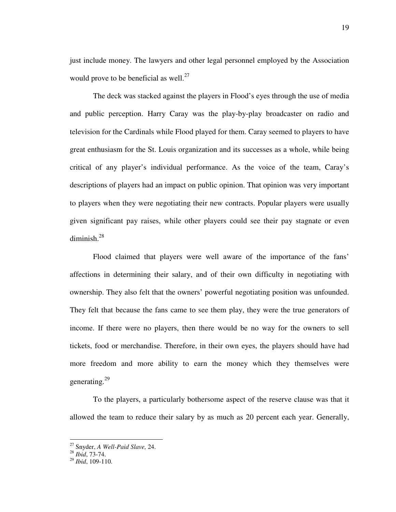just include money. The lawyers and other legal personnel employed by the Association would prove to be beneficial as well. $^{27}$ 

 The deck was stacked against the players in Flood's eyes through the use of media and public perception. Harry Caray was the play-by-play broadcaster on radio and television for the Cardinals while Flood played for them. Caray seemed to players to have great enthusiasm for the St. Louis organization and its successes as a whole, while being critical of any player's individual performance. As the voice of the team, Caray's descriptions of players had an impact on public opinion. That opinion was very important to players when they were negotiating their new contracts. Popular players were usually given significant pay raises, while other players could see their pay stagnate or even diminish.<sup>28</sup>

 Flood claimed that players were well aware of the importance of the fans' affections in determining their salary, and of their own difficulty in negotiating with ownership. They also felt that the owners' powerful negotiating position was unfounded. They felt that because the fans came to see them play, they were the true generators of income. If there were no players, then there would be no way for the owners to sell tickets, food or merchandise. Therefore, in their own eyes, the players should have had more freedom and more ability to earn the money which they themselves were generating.<sup>29</sup>

 To the players, a particularly bothersome aspect of the reserve clause was that it allowed the team to reduce their salary by as much as 20 percent each year. Generally,

<sup>27</sup> Snyder, *A Well-Paid Slave,* 24.

<sup>28</sup> *Ibid*, 73-74.

<sup>29</sup> *Ibid*, 109-110.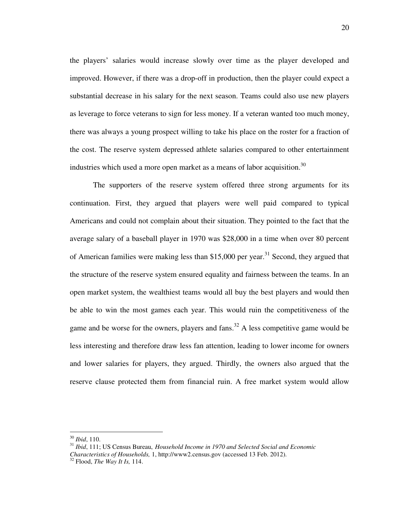the players' salaries would increase slowly over time as the player developed and improved. However, if there was a drop-off in production, then the player could expect a substantial decrease in his salary for the next season. Teams could also use new players as leverage to force veterans to sign for less money. If a veteran wanted too much money, there was always a young prospect willing to take his place on the roster for a fraction of the cost. The reserve system depressed athlete salaries compared to other entertainment industries which used a more open market as a means of labor acquisition.<sup>30</sup>

The supporters of the reserve system offered three strong arguments for its continuation. First, they argued that players were well paid compared to typical Americans and could not complain about their situation. They pointed to the fact that the average salary of a baseball player in 1970 was \$28,000 in a time when over 80 percent of American families were making less than \$15,000 per year.<sup>31</sup> Second, they argued that the structure of the reserve system ensured equality and fairness between the teams. In an open market system, the wealthiest teams would all buy the best players and would then be able to win the most games each year. This would ruin the competitiveness of the game and be worse for the owners, players and fans.<sup>32</sup> A less competitive game would be less interesting and therefore draw less fan attention, leading to lower income for owners and lower salaries for players, they argued. Thirdly, the owners also argued that the reserve clause protected them from financial ruin. A free market system would allow

<sup>30</sup> *Ibid*, 110.

<sup>31</sup> *Ibid*, 111; US Census Bureau, *Household Income in 1970 and Selected Social and Economic Characteristics of Households,* 1, http://www2.census.gov (accessed 13 Feb. 2012).

<sup>32</sup> Flood, *The Way It Is,* 114.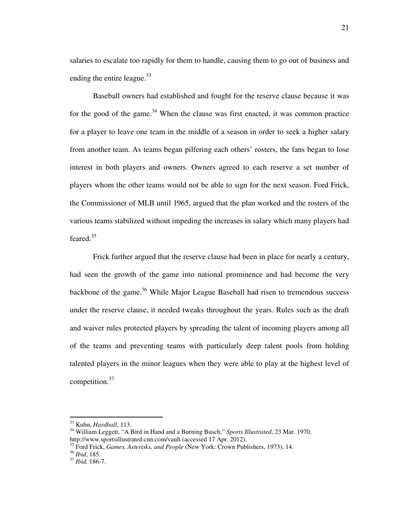salaries to escalate too rapidly for them to handle, causing them to go out of business and ending the entire league.<sup>33</sup>

Baseball owners had established and fought for the reserve clause because it was for the good of the game.<sup>34</sup> When the clause was first enacted, it was common practice for a player to leave one team in the middle of a season in order to seek a higher salary from another team. As teams began pilfering each others' rosters, the fans began to lose interest in both players and owners. Owners agreed to each reserve a set number of players whom the other teams would not be able to sign for the next season. Ford Frick, the Commissioner of MLB until 1965, argued that the plan worked and the rosters of the various teams stabilized without impeding the increases in salary which many players had feared. $35$ 

Frick further argued that the reserve clause had been in place for nearly a century, had seen the growth of the game into national prominence and had become the very backbone of the game.<sup>36</sup> While Major League Baseball had risen to tremendous success under the reserve clause, it needed tweaks throughout the years. Rules such as the draft and waiver rules protected players by spreading the talent of incoming players among all of the teams and preventing teams with particularly deep talent pools from holding talented players in the minor leagues when they were able to play at the highest level of competition.<sup>37</sup>

-

<sup>33</sup> Kuhn, *Hardball*, 113.

<sup>34</sup> William Leggett, "A Bird in Hand and a Burning Busch," *Sports Illustrated*, 23 Mar. 1970, http://www.sportsillustrated.cnn.com/vault (accessed 17 Apr. 2012).

<sup>35</sup> Ford Frick, *Games, Asterisks, and People* (New York: Crown Publishers, 1973), 14.

<sup>36</sup> *Ibid*, 185.

<sup>37</sup> *Ibid,* 186-7.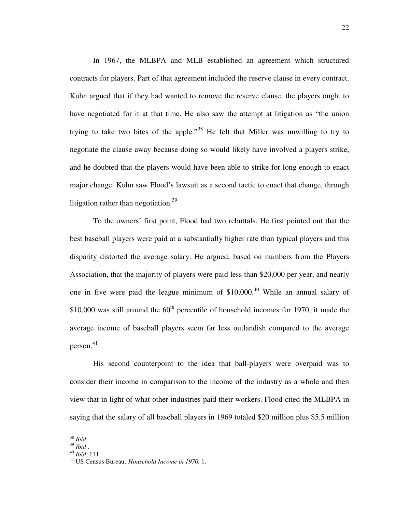In 1967, the MLBPA and MLB established an agreement which structured contracts for players. Part of that agreement included the reserve clause in every contract. Kuhn argued that if they had wanted to remove the reserve clause, the players ought to have negotiated for it at that time. He also saw the attempt at litigation as "the union trying to take two bites of the apple."<sup>38</sup> He felt that Miller was unwilling to try to negotiate the clause away because doing so would likely have involved a players strike, and he doubted that the players would have been able to strike for long enough to enact major change. Kuhn saw Flood's lawsuit as a second tactic to enact that change, through litigation rather than negotiation.<sup>39</sup>

 To the owners' first point, Flood had two rebuttals. He first pointed out that the best baseball players were paid at a substantially higher rate than typical players and this disparity distorted the average salary. He argued, based on numbers from the Players Association, that the majority of players were paid less than \$20,000 per year, and nearly one in five were paid the league minimum of  $$10,000<sup>40</sup>$  While an annual salary of \$10,000 was still around the  $60<sup>th</sup>$  percentile of household incomes for 1970, it made the average income of baseball players seem far less outlandish compared to the average person.<sup>41</sup>

His second counterpoint to the idea that ball-players were overpaid was to consider their income in comparison to the income of the industry as a whole and then view that in light of what other industries paid their workers. Flood cited the MLBPA in saying that the salary of all baseball players in 1969 totaled \$20 million plus \$5.5 million

<u>.</u>

<sup>38</sup> *Ibid.* 

<sup>39</sup> *Ibid* .

<sup>40</sup> *Ibid*, 111.

<sup>41</sup> US Census Bureau, *Household Income in 1970,* 1.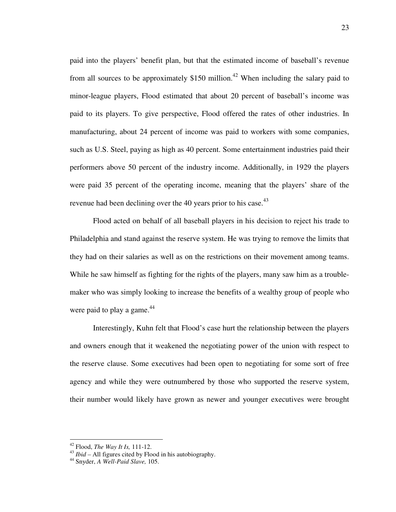paid into the players' benefit plan, but that the estimated income of baseball's revenue from all sources to be approximately  $$150$  million.<sup>42</sup> When including the salary paid to minor-league players, Flood estimated that about 20 percent of baseball's income was paid to its players. To give perspective, Flood offered the rates of other industries. In manufacturing, about 24 percent of income was paid to workers with some companies, such as U.S. Steel, paying as high as 40 percent. Some entertainment industries paid their performers above 50 percent of the industry income. Additionally, in 1929 the players were paid 35 percent of the operating income, meaning that the players' share of the revenue had been declining over the 40 years prior to his case.<sup>43</sup>

Flood acted on behalf of all baseball players in his decision to reject his trade to Philadelphia and stand against the reserve system. He was trying to remove the limits that they had on their salaries as well as on the restrictions on their movement among teams. While he saw himself as fighting for the rights of the players, many saw him as a troublemaker who was simply looking to increase the benefits of a wealthy group of people who were paid to play a game. $44$ 

Interestingly, Kuhn felt that Flood's case hurt the relationship between the players and owners enough that it weakened the negotiating power of the union with respect to the reserve clause. Some executives had been open to negotiating for some sort of free agency and while they were outnumbered by those who supported the reserve system, their number would likely have grown as newer and younger executives were brought

<sup>42</sup> Flood, *The Way It Is,* 111-12.

<sup>&</sup>lt;sup>43</sup> *Ibid* – All figures cited by Flood in his autobiography.

<sup>44</sup> Snyder, *A Well-Paid Slave,* 105.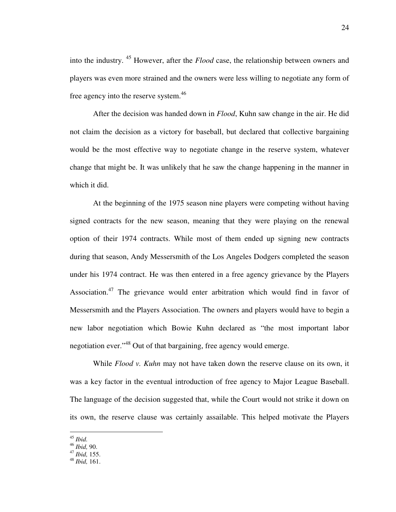into the industry. <sup>45</sup> However, after the *Flood* case, the relationship between owners and players was even more strained and the owners were less willing to negotiate any form of free agency into the reserve system.<sup>46</sup>

After the decision was handed down in *Flood*, Kuhn saw change in the air. He did not claim the decision as a victory for baseball, but declared that collective bargaining would be the most effective way to negotiate change in the reserve system, whatever change that might be. It was unlikely that he saw the change happening in the manner in which it did.

At the beginning of the 1975 season nine players were competing without having signed contracts for the new season, meaning that they were playing on the renewal option of their 1974 contracts. While most of them ended up signing new contracts during that season, Andy Messersmith of the Los Angeles Dodgers completed the season under his 1974 contract. He was then entered in a free agency grievance by the Players Association.<sup>47</sup> The grievance would enter arbitration which would find in favor of Messersmith and the Players Association. The owners and players would have to begin a new labor negotiation which Bowie Kuhn declared as "the most important labor negotiation ever."<sup>48</sup> Out of that bargaining, free agency would emerge.

While *Flood v. Kuhn* may not have taken down the reserve clause on its own, it was a key factor in the eventual introduction of free agency to Major League Baseball. The language of the decision suggested that, while the Court would not strike it down on its own, the reserve clause was certainly assailable. This helped motivate the Players

<sup>45</sup> *Ibid.* 

<sup>46</sup> *Ibid,* 90.

<sup>47</sup> *Ibid,* 155.

<sup>48</sup> *Ibid,* 161.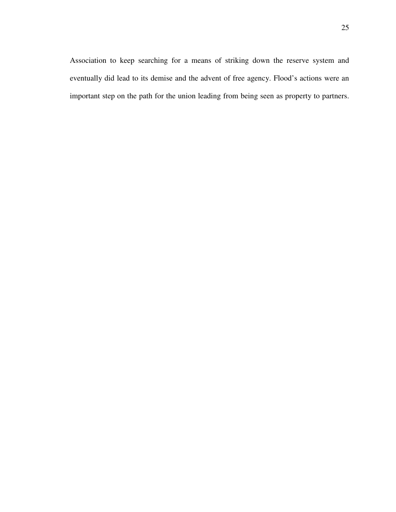25

Association to keep searching for a means of striking down the reserve system and eventually did lead to its demise and the advent of free agency. Flood's actions were an important step on the path for the union leading from being seen as property to partners.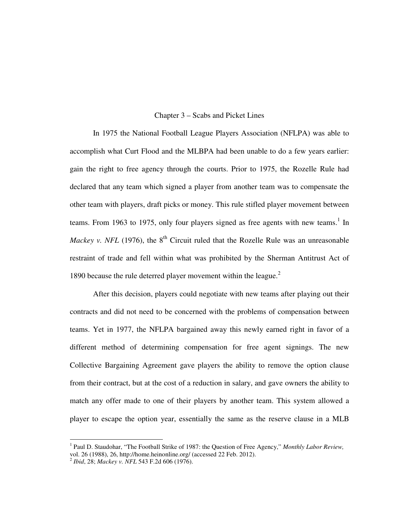#### Chapter 3 – Scabs and Picket Lines

In 1975 the National Football League Players Association (NFLPA) was able to accomplish what Curt Flood and the MLBPA had been unable to do a few years earlier: gain the right to free agency through the courts. Prior to 1975, the Rozelle Rule had declared that any team which signed a player from another team was to compensate the other team with players, draft picks or money. This rule stifled player movement between teams. From 1963 to 1975, only four players signed as free agents with new teams.<sup>1</sup> In *Mackey v. NFL* (1976), the  $8<sup>th</sup>$  Circuit ruled that the Rozelle Rule was an unreasonable restraint of trade and fell within what was prohibited by the Sherman Antitrust Act of 1890 because the rule deterred player movement within the league. $2$ 

After this decision, players could negotiate with new teams after playing out their contracts and did not need to be concerned with the problems of compensation between teams. Yet in 1977, the NFLPA bargained away this newly earned right in favor of a different method of determining compensation for free agent signings. The new Collective Bargaining Agreement gave players the ability to remove the option clause from their contract, but at the cost of a reduction in salary, and gave owners the ability to match any offer made to one of their players by another team. This system allowed a player to escape the option year, essentially the same as the reserve clause in a MLB

 1 Paul D. Staudohar, "The Football Strike of 1987: the Question of Free Agency," *Monthly Labor Review,* vol. 26 (1988), 26, http://home.heinonline.org/ (accessed 22 Feb. 2012).

<sup>2</sup> *Ibid*, 28; *Mackey v. NFL* 543 F.2d 606 (1976).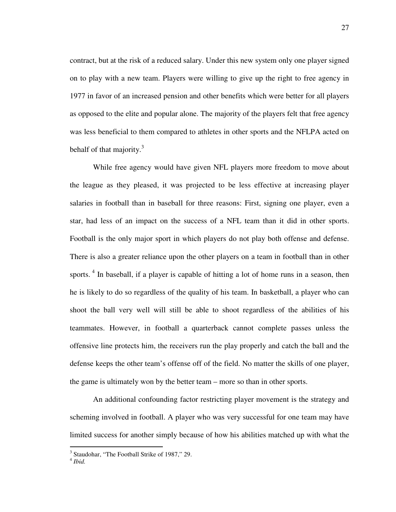contract, but at the risk of a reduced salary. Under this new system only one player signed on to play with a new team. Players were willing to give up the right to free agency in 1977 in favor of an increased pension and other benefits which were better for all players as opposed to the elite and popular alone. The majority of the players felt that free agency was less beneficial to them compared to athletes in other sports and the NFLPA acted on behalf of that majority.<sup>3</sup>

While free agency would have given NFL players more freedom to move about the league as they pleased, it was projected to be less effective at increasing player salaries in football than in baseball for three reasons: First, signing one player, even a star, had less of an impact on the success of a NFL team than it did in other sports. Football is the only major sport in which players do not play both offense and defense. There is also a greater reliance upon the other players on a team in football than in other sports.<sup>4</sup> In baseball, if a player is capable of hitting a lot of home runs in a season, then he is likely to do so regardless of the quality of his team. In basketball, a player who can shoot the ball very well will still be able to shoot regardless of the abilities of his teammates. However, in football a quarterback cannot complete passes unless the offensive line protects him, the receivers run the play properly and catch the ball and the defense keeps the other team's offense off of the field. No matter the skills of one player, the game is ultimately won by the better team – more so than in other sports.

An additional confounding factor restricting player movement is the strategy and scheming involved in football. A player who was very successful for one team may have limited success for another simply because of how his abilities matched up with what the

<sup>&</sup>lt;sup>3</sup> Staudohar, "The Football Strike of 1987," 29.

<sup>4</sup> *Ibid.*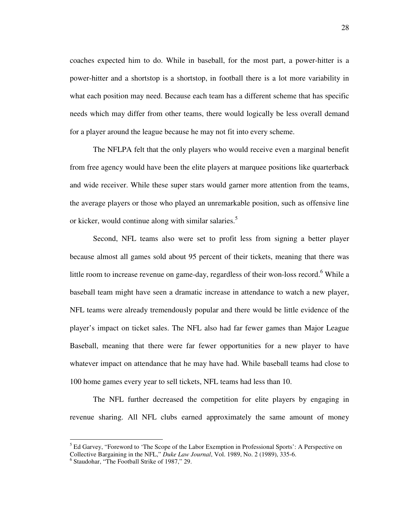coaches expected him to do. While in baseball, for the most part, a power-hitter is a power-hitter and a shortstop is a shortstop, in football there is a lot more variability in what each position may need. Because each team has a different scheme that has specific needs which may differ from other teams, there would logically be less overall demand for a player around the league because he may not fit into every scheme.

The NFLPA felt that the only players who would receive even a marginal benefit from free agency would have been the elite players at marquee positions like quarterback and wide receiver. While these super stars would garner more attention from the teams, the average players or those who played an unremarkable position, such as offensive line or kicker, would continue along with similar salaries.<sup>5</sup>

Second, NFL teams also were set to profit less from signing a better player because almost all games sold about 95 percent of their tickets, meaning that there was little room to increase revenue on game-day, regardless of their won-loss record.<sup>6</sup> While a baseball team might have seen a dramatic increase in attendance to watch a new player, NFL teams were already tremendously popular and there would be little evidence of the player's impact on ticket sales. The NFL also had far fewer games than Major League Baseball, meaning that there were far fewer opportunities for a new player to have whatever impact on attendance that he may have had. While baseball teams had close to 100 home games every year to sell tickets, NFL teams had less than 10.

The NFL further decreased the competition for elite players by engaging in revenue sharing. All NFL clubs earned approximately the same amount of money

<sup>&</sup>lt;sup>5</sup> Ed Garvey, "Foreword to 'The Scope of the Labor Exemption in Professional Sports': A Perspective on Collective Bargaining in the NFL," *Duke Law Journal*, Vol. 1989, No. 2 (1989), 335-6.

<sup>6</sup> Staudohar, "The Football Strike of 1987," 29.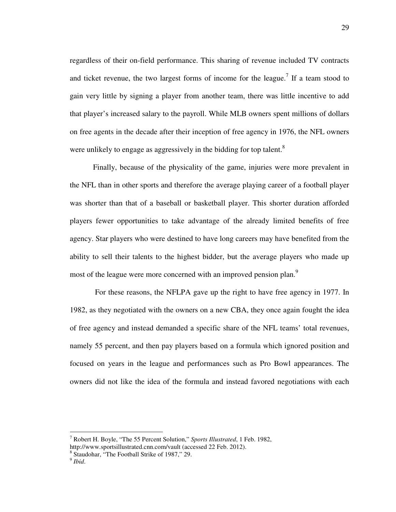regardless of their on-field performance. This sharing of revenue included TV contracts and ticket revenue, the two largest forms of income for the league.<sup>7</sup> If a team stood to gain very little by signing a player from another team, there was little incentive to add that player's increased salary to the payroll. While MLB owners spent millions of dollars on free agents in the decade after their inception of free agency in 1976, the NFL owners were unlikely to engage as aggressively in the bidding for top talent.<sup>8</sup>

Finally, because of the physicality of the game, injuries were more prevalent in the NFL than in other sports and therefore the average playing career of a football player was shorter than that of a baseball or basketball player. This shorter duration afforded players fewer opportunities to take advantage of the already limited benefits of free agency. Star players who were destined to have long careers may have benefited from the ability to sell their talents to the highest bidder, but the average players who made up most of the league were more concerned with an improved pension plan.<sup>9</sup>

 For these reasons, the NFLPA gave up the right to have free agency in 1977. In 1982, as they negotiated with the owners on a new CBA, they once again fought the idea of free agency and instead demanded a specific share of the NFL teams' total revenues, namely 55 percent, and then pay players based on a formula which ignored position and focused on years in the league and performances such as Pro Bowl appearances. The owners did not like the idea of the formula and instead favored negotiations with each

<sup>7</sup> Robert H. Boyle, "The 55 Percent Solution," *Sports Illustrated*, 1 Feb. 1982, http://www.sportsillustrated.cnn.com/vault (accessed 22 Feb. 2012).

<sup>8</sup> Staudohar, "The Football Strike of 1987," 29.

<sup>9</sup> *Ibid*.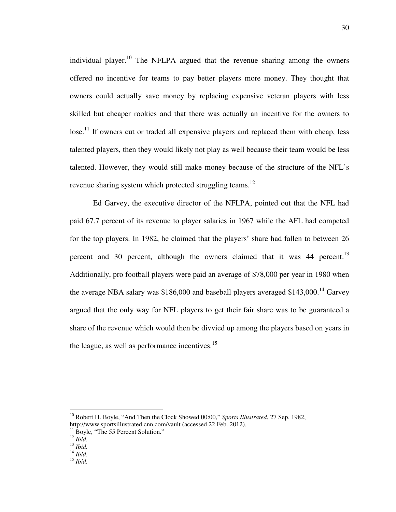individual player.<sup>10</sup> The NFLPA argued that the revenue sharing among the owners offered no incentive for teams to pay better players more money. They thought that owners could actually save money by replacing expensive veteran players with less skilled but cheaper rookies and that there was actually an incentive for the owners to  $\cos^{-1}$  If owners cut or traded all expensive players and replaced them with cheap, less talented players, then they would likely not play as well because their team would be less talented. However, they would still make money because of the structure of the NFL's revenue sharing system which protected struggling teams.<sup>12</sup>

Ed Garvey, the executive director of the NFLPA, pointed out that the NFL had paid 67.7 percent of its revenue to player salaries in 1967 while the AFL had competed for the top players. In 1982, he claimed that the players' share had fallen to between 26 percent and 30 percent, although the owners claimed that it was  $44$  percent.<sup>13</sup> Additionally, pro football players were paid an average of \$78,000 per year in 1980 when the average NBA salary was \$186,000 and baseball players averaged \$143,000.<sup>14</sup> Garvey argued that the only way for NFL players to get their fair share was to be guaranteed a share of the revenue which would then be divvied up among the players based on years in the league, as well as performance incentives.<sup>15</sup>

<sup>10</sup> Robert H. Boyle, "And Then the Clock Showed 00:00," *Sports Illustrated*, 27 Sep. 1982,

http://www.sportsillustrated.cnn.com/vault (accessed 22 Feb. 2012).

<sup>&</sup>lt;sup>11</sup> Boyle, "The 55 Percent Solution."

<sup>12</sup> *Ibid.* 

<sup>13</sup> *Ibid.* 

<sup>14</sup> *Ibid.* 

<sup>15</sup> *Ibid.*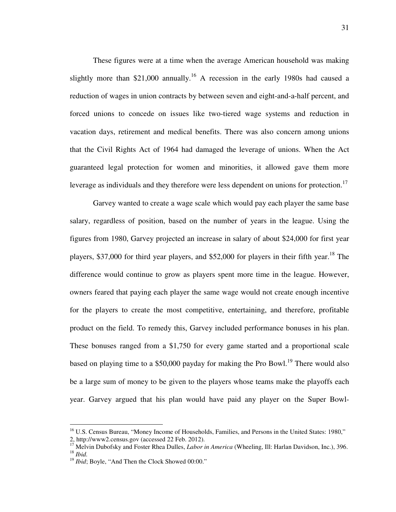These figures were at a time when the average American household was making slightly more than \$21,000 annually.<sup>16</sup> A recession in the early 1980s had caused a reduction of wages in union contracts by between seven and eight-and-a-half percent, and forced unions to concede on issues like two-tiered wage systems and reduction in vacation days, retirement and medical benefits. There was also concern among unions that the Civil Rights Act of 1964 had damaged the leverage of unions. When the Act guaranteed legal protection for women and minorities, it allowed gave them more leverage as individuals and they therefore were less dependent on unions for protection.<sup>17</sup>

Garvey wanted to create a wage scale which would pay each player the same base salary, regardless of position, based on the number of years in the league. Using the figures from 1980, Garvey projected an increase in salary of about \$24,000 for first year players, \$37,000 for third year players, and \$52,000 for players in their fifth year.<sup>18</sup> The difference would continue to grow as players spent more time in the league. However, owners feared that paying each player the same wage would not create enough incentive for the players to create the most competitive, entertaining, and therefore, profitable product on the field. To remedy this, Garvey included performance bonuses in his plan. These bonuses ranged from a \$1,750 for every game started and a proportional scale based on playing time to a \$50,000 payday for making the Pro Bowl.<sup>19</sup> There would also be a large sum of money to be given to the players whose teams make the playoffs each year. Garvey argued that his plan would have paid any player on the Super Bowl-

-

<sup>&</sup>lt;sup>16</sup> U.S. Census Bureau, "Money Income of Households, Families, and Persons in the United States: 1980," 2, http://www2.census.gov (accessed 22 Feb. 2012).

<sup>&</sup>lt;sup>17</sup> Melvin Dubofsky and Foster Rhea Dulles, *Labor in America* (Wheeling, Ill: Harlan Davidson, Inc.), 396. <sup>18</sup> *Ibid.*

<sup>&</sup>lt;sup>19</sup> *Ibid*; Boyle, "And Then the Clock Showed 00:00."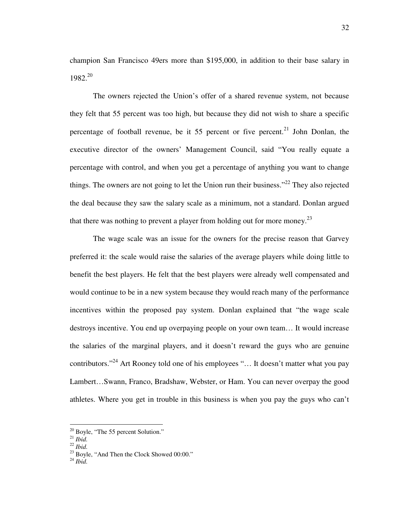champion San Francisco 49ers more than \$195,000, in addition to their base salary in  $1982.<sup>20</sup>$ 

The owners rejected the Union's offer of a shared revenue system, not because they felt that 55 percent was too high, but because they did not wish to share a specific percentage of football revenue, be it 55 percent or five percent.<sup>21</sup> John Donlan, the executive director of the owners' Management Council, said "You really equate a percentage with control, and when you get a percentage of anything you want to change things. The owners are not going to let the Union run their business."<sup>22</sup> They also rejected the deal because they saw the salary scale as a minimum, not a standard. Donlan argued that there was nothing to prevent a player from holding out for more money.<sup>23</sup>

The wage scale was an issue for the owners for the precise reason that Garvey preferred it: the scale would raise the salaries of the average players while doing little to benefit the best players. He felt that the best players were already well compensated and would continue to be in a new system because they would reach many of the performance incentives within the proposed pay system. Donlan explained that "the wage scale destroys incentive. You end up overpaying people on your own team… It would increase the salaries of the marginal players, and it doesn't reward the guys who are genuine contributors."<sup>24</sup> Art Rooney told one of his employees "... It doesn't matter what you pay Lambert…Swann, Franco, Bradshaw, Webster, or Ham. You can never overpay the good athletes. Where you get in trouble in this business is when you pay the guys who can't

<sup>&</sup>lt;sup>20</sup> Boyle, "The 55 percent Solution."

<sup>21</sup> *Ibid.* 

<sup>22</sup> *Ibid.* 

 $^{23}$  Boyle, "And Then the Clock Showed 00:00."

<sup>24</sup> *Ibid.*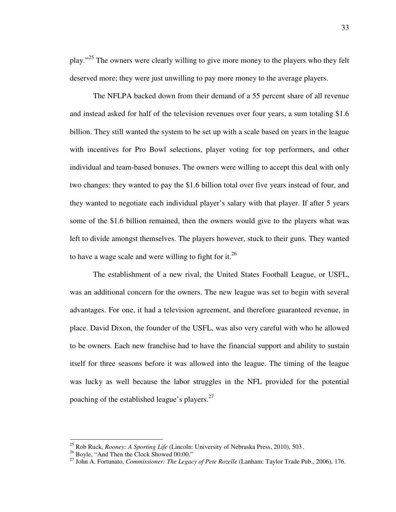play."<sup>25</sup> The owners were clearly willing to give more money to the players who they felt deserved more; they were just unwilling to pay more money to the average players.

The NFLPA backed down from their demand of a 55 percent share of all revenue and instead asked for half of the television revenues over four years, a sum totaling \$1.6 billion. They still wanted the system to be set up with a scale based on years in the league with incentives for Pro Bowl selections, player voting for top performers, and other individual and team-based bonuses. The owners were willing to accept this deal with only two changes: they wanted to pay the \$1.6 billion total over five years instead of four, and they wanted to negotiate each individual player's salary with that player. If after 5 years some of the \$1.6 billion remained, then the owners would give to the players what was left to divide amongst themselves. The players however, stuck to their guns. They wanted to have a wage scale and were willing to fight for it.<sup>26</sup>

The establishment of a new rival, the United States Football League, or USFL, was an additional concern for the owners. The new league was set to begin with several advantages. For one, it had a television agreement, and therefore guaranteed revenue, in place. David Dixon, the founder of the USFL, was also very careful with who he allowed to be owners. Each new franchise had to have the financial support and ability to sustain itself for three seasons before it was allowed into the league. The timing of the league was lucky as well because the labor struggles in the NFL provided for the potential poaching of the established league's players. $27$ 

<sup>25</sup> Rob Ruck, *Rooney: A Sporting Life* (Lincoln: University of Nebraska Press, 2010), 503 .

<sup>&</sup>lt;sup>26</sup> Boyle, "And Then the Clock Showed 00:00."

<sup>27</sup> John A. Fortunato, *Commissioner: The Legacy of Pete Rozelle* (Lanham: Taylor Trade Pub., 2006), 176.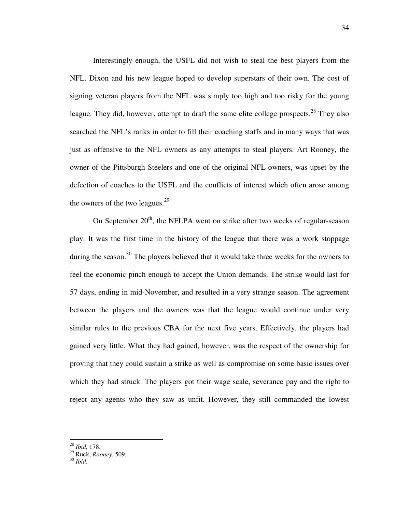Interestingly enough, the USFL did not wish to steal the best players from the NFL. Dixon and his new league hoped to develop superstars of their own. The cost of signing veteran players from the NFL was simply too high and too risky for the young league. They did, however, attempt to draft the same elite college prospects.<sup>28</sup> They also searched the NFL's ranks in order to fill their coaching staffs and in many ways that was just as offensive to the NFL owners as any attempts to steal players. Art Rooney, the owner of the Pittsburgh Steelers and one of the original NFL owners, was upset by the defection of coaches to the USFL and the conflicts of interest which often arose among the owners of the two leagues. $2^9$ 

On September  $20<sup>th</sup>$ , the NFLPA went on strike after two weeks of regular-season play. It was the first time in the history of the league that there was a work stoppage during the season.<sup>30</sup> The players believed that it would take three weeks for the owners to feel the economic pinch enough to accept the Union demands. The strike would last for 57 days, ending in mid-November, and resulted in a very strange season. The agreement between the players and the owners was that the league would continue under very similar rules to the previous CBA for the next five years. Effectively, the players had gained very little. What they had gained, however, was the respect of the ownership for proving that they could sustain a strike as well as compromise on some basic issues over which they had struck. The players got their wage scale, severance pay and the right to reject any agents who they saw as unfit. However, they still commanded the lowest

<sup>28</sup> *Ibid,* 178.

<sup>29</sup> Ruck, *Rooney*, 509.

<sup>30</sup> *Ibid.*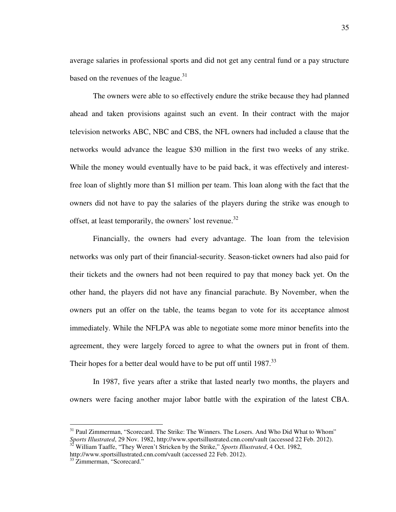average salaries in professional sports and did not get any central fund or a pay structure based on the revenues of the league. $31$ 

The owners were able to so effectively endure the strike because they had planned ahead and taken provisions against such an event. In their contract with the major television networks ABC, NBC and CBS, the NFL owners had included a clause that the networks would advance the league \$30 million in the first two weeks of any strike. While the money would eventually have to be paid back, it was effectively and interestfree loan of slightly more than \$1 million per team. This loan along with the fact that the owners did not have to pay the salaries of the players during the strike was enough to offset, at least temporarily, the owners' lost revenue.<sup>32</sup>

Financially, the owners had every advantage. The loan from the television networks was only part of their financial-security. Season-ticket owners had also paid for their tickets and the owners had not been required to pay that money back yet. On the other hand, the players did not have any financial parachute. By November, when the owners put an offer on the table, the teams began to vote for its acceptance almost immediately. While the NFLPA was able to negotiate some more minor benefits into the agreement, they were largely forced to agree to what the owners put in front of them. Their hopes for a better deal would have to be put off until  $1987$ <sup>33</sup>

In 1987, five years after a strike that lasted nearly two months, the players and owners were facing another major labor battle with the expiration of the latest CBA.

<sup>&</sup>lt;sup>31</sup> Paul Zimmerman, "Scorecard. The Strike: The Winners. The Losers. And Who Did What to Whom" *Sports Illustrated*, 29 Nov. 1982, http://www.sportsillustrated.cnn.com/vault (accessed 22 Feb. 2012). <sup>32</sup> William Taaffe, "They Weren't Stricken by the Strike," *Sports Illustrated*, 4 Oct. 1982,

http://www.sportsillustrated.cnn.com/vault (accessed 22 Feb. 2012).

<sup>&</sup>lt;sup>33</sup> Zimmerman, "Scorecard."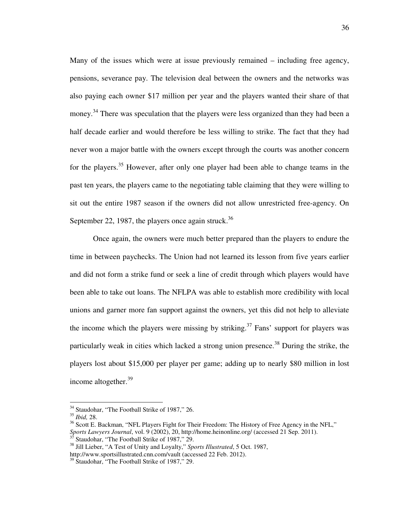Many of the issues which were at issue previously remained – including free agency, pensions, severance pay. The television deal between the owners and the networks was also paying each owner \$17 million per year and the players wanted their share of that money.<sup>34</sup> There was speculation that the players were less organized than they had been a half decade earlier and would therefore be less willing to strike. The fact that they had never won a major battle with the owners except through the courts was another concern for the players.<sup>35</sup> However, after only one player had been able to change teams in the past ten years, the players came to the negotiating table claiming that they were willing to sit out the entire 1987 season if the owners did not allow unrestricted free-agency. On September 22, 1987, the players once again struck.<sup>36</sup>

Once again, the owners were much better prepared than the players to endure the time in between paychecks. The Union had not learned its lesson from five years earlier and did not form a strike fund or seek a line of credit through which players would have been able to take out loans. The NFLPA was able to establish more credibility with local unions and garner more fan support against the owners, yet this did not help to alleviate the income which the players were missing by striking.<sup>37</sup> Fans' support for players was particularly weak in cities which lacked a strong union presence.<sup>38</sup> During the strike, the players lost about \$15,000 per player per game; adding up to nearly \$80 million in lost income altogether.<sup>39</sup>

<sup>&</sup>lt;sup>34</sup> Staudohar, "The Football Strike of 1987," 26.

<sup>35</sup> *Ibid,* 28.

<sup>&</sup>lt;sup>36</sup> Scott E. Backman, "NFL Players Fight for Their Freedom: The History of Free Agency in the NFL," *Sports Lawyers Journal*, vol. 9 (2002), 20, http://home.heinonline.org/ (accessed 21 Sep. 2011).  $37$  Staudohar, "The Football Strike of 1987," 29.

<sup>38</sup> Jill Lieber, "A Test of Unity and Loyalty," *Sports Illustrated*, 5 Oct. 1987,

http://www.sportsillustrated.cnn.com/vault (accessed 22 Feb. 2012).

<sup>&</sup>lt;sup>39</sup> Staudohar, "The Football Strike of 1987," 29.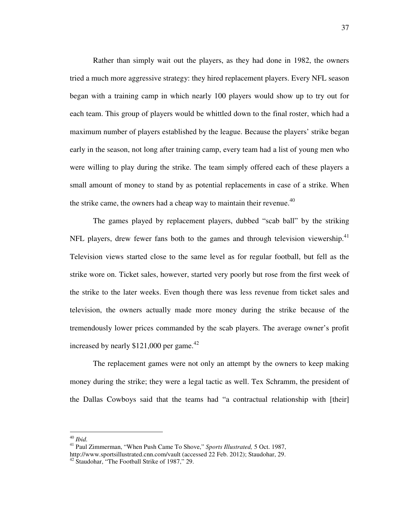Rather than simply wait out the players, as they had done in 1982, the owners tried a much more aggressive strategy: they hired replacement players. Every NFL season began with a training camp in which nearly 100 players would show up to try out for each team. This group of players would be whittled down to the final roster, which had a maximum number of players established by the league. Because the players' strike began early in the season, not long after training camp, every team had a list of young men who were willing to play during the strike. The team simply offered each of these players a small amount of money to stand by as potential replacements in case of a strike. When the strike came, the owners had a cheap way to maintain their revenue.<sup>40</sup>

The games played by replacement players, dubbed "scab ball" by the striking NFL players, drew fewer fans both to the games and through television viewership.<sup>41</sup> Television views started close to the same level as for regular football, but fell as the strike wore on. Ticket sales, however, started very poorly but rose from the first week of the strike to the later weeks. Even though there was less revenue from ticket sales and television, the owners actually made more money during the strike because of the tremendously lower prices commanded by the scab players. The average owner's profit increased by nearly  $$121,000$  per game.<sup>42</sup>

The replacement games were not only an attempt by the owners to keep making money during the strike; they were a legal tactic as well. Tex Schramm, the president of the Dallas Cowboys said that the teams had "a contractual relationship with [their]

<sup>40</sup> *Ibid.*

<sup>41</sup> Paul Zimmerman, "When Push Came To Shove," *Sports Illustrated,* 5 Oct. 1987, http://www.sportsillustrated.cnn.com/vault (accessed 22 Feb. 2012); Staudohar, 29.

<sup>42</sup> Staudohar, "The Football Strike of 1987," 29.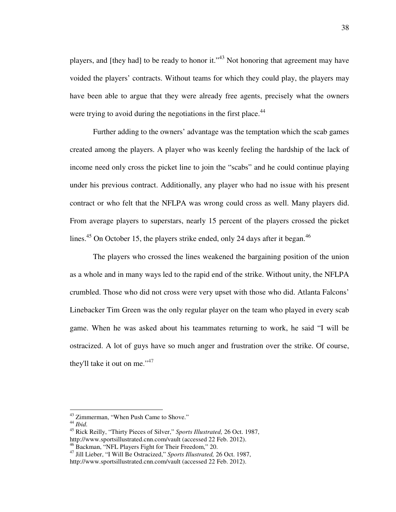players, and [they had] to be ready to honor it."<sup>43</sup> Not honoring that agreement may have voided the players' contracts. Without teams for which they could play, the players may have been able to argue that they were already free agents, precisely what the owners were trying to avoid during the negotiations in the first place.<sup>44</sup>

Further adding to the owners' advantage was the temptation which the scab games created among the players. A player who was keenly feeling the hardship of the lack of income need only cross the picket line to join the "scabs" and he could continue playing under his previous contract. Additionally, any player who had no issue with his present contract or who felt that the NFLPA was wrong could cross as well. Many players did. From average players to superstars, nearly 15 percent of the players crossed the picket lines.<sup>45</sup> On October 15, the players strike ended, only 24 days after it began.<sup>46</sup>

The players who crossed the lines weakened the bargaining position of the union as a whole and in many ways led to the rapid end of the strike. Without unity, the NFLPA crumbled. Those who did not cross were very upset with those who did. Atlanta Falcons' Linebacker Tim Green was the only regular player on the team who played in every scab game. When he was asked about his teammates returning to work, he said "I will be ostracized. A lot of guys have so much anger and frustration over the strike. Of course, they'll take it out on me." $47$ 

<sup>&</sup>lt;sup>43</sup> Zimmerman, "When Push Came to Shove."

<sup>44</sup> *Ibid.*

<sup>45</sup> Rick Reilly, "Thirty Pieces of Silver," *Sports Illustrated,* 26 Oct. 1987, http://www.sportsillustrated.cnn.com/vault (accessed 22 Feb. 2012). <sup>46</sup> Backman, "NFL Players Fight for Their Freedom," 20.

<sup>47</sup> Jill Lieber, "I Will Be Ostracized," *Sports Illustrated,* 26 Oct. 1987, http://www.sportsillustrated.cnn.com/vault (accessed 22 Feb. 2012).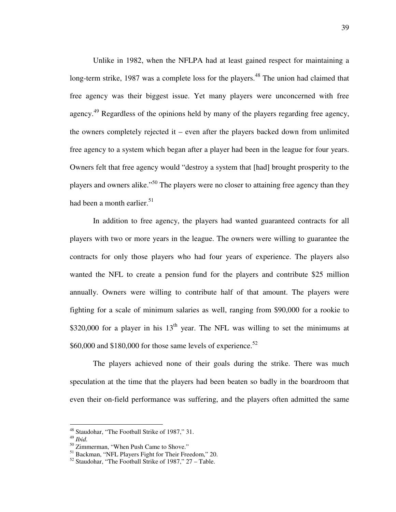Unlike in 1982, when the NFLPA had at least gained respect for maintaining a long-term strike, 1987 was a complete loss for the players.<sup>48</sup> The union had claimed that free agency was their biggest issue. Yet many players were unconcerned with free agency.<sup>49</sup> Regardless of the opinions held by many of the players regarding free agency, the owners completely rejected it – even after the players backed down from unlimited free agency to a system which began after a player had been in the league for four years. Owners felt that free agency would "destroy a system that [had] brought prosperity to the players and owners alike."<sup>50</sup> The players were no closer to attaining free agency than they had been a month earlier.<sup>51</sup>

In addition to free agency, the players had wanted guaranteed contracts for all players with two or more years in the league. The owners were willing to guarantee the contracts for only those players who had four years of experience. The players also wanted the NFL to create a pension fund for the players and contribute \$25 million annually. Owners were willing to contribute half of that amount. The players were fighting for a scale of minimum salaries as well, ranging from \$90,000 for a rookie to \$320,000 for a player in his  $13<sup>th</sup>$  year. The NFL was willing to set the minimums at \$60,000 and \$180,000 for those same levels of experience.<sup>52</sup>

The players achieved none of their goals during the strike. There was much speculation at the time that the players had been beaten so badly in the boardroom that even their on-field performance was suffering, and the players often admitted the same

-

<sup>&</sup>lt;sup>48</sup> Staudohar, "The Football Strike of 1987," 31.

<sup>49</sup> *Ibid.* 

<sup>&</sup>lt;sup>50</sup> Zimmerman, "When Push Came to Shove."

<sup>&</sup>lt;sup>51</sup> Backman, "NFL Players Fight for Their Freedom," 20.

 $52$  Staudohar, "The Football Strike of 1987," 27 – Table.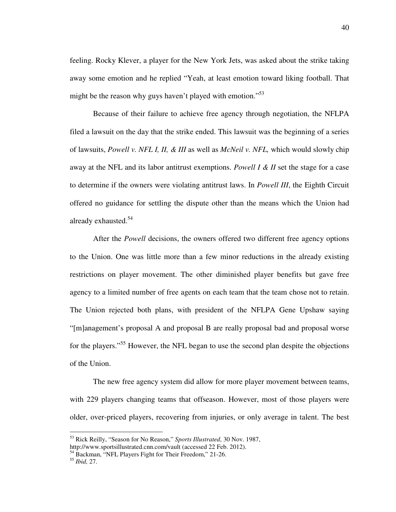feeling. Rocky Klever, a player for the New York Jets, was asked about the strike taking away some emotion and he replied "Yeah, at least emotion toward liking football. That might be the reason why guys haven't played with emotion."<sup>53</sup>

Because of their failure to achieve free agency through negotiation, the NFLPA filed a lawsuit on the day that the strike ended. This lawsuit was the beginning of a series of lawsuits, *Powell v. NFL I, II, & III* as well as *McNeil v. NFL,* which would slowly chip away at the NFL and its labor antitrust exemptions. *Powell I & II* set the stage for a case to determine if the owners were violating antitrust laws. In *Powell III*, the Eighth Circuit offered no guidance for settling the dispute other than the means which the Union had already exhausted.<sup>54</sup>

After the *Powell* decisions, the owners offered two different free agency options to the Union. One was little more than a few minor reductions in the already existing restrictions on player movement. The other diminished player benefits but gave free agency to a limited number of free agents on each team that the team chose not to retain. The Union rejected both plans, with president of the NFLPA Gene Upshaw saying "[m]anagement's proposal A and proposal B are really proposal bad and proposal worse for the players."<sup>55</sup> However, the NFL began to use the second plan despite the objections of the Union.

The new free agency system did allow for more player movement between teams, with 229 players changing teams that offseason. However, most of those players were older, over-priced players, recovering from injuries, or only average in talent. The best

<sup>53</sup> Rick Reilly, "Season for No Reason," *Sports Illustrated*, 30 Nov. 1987,

http://www.sportsillustrated.cnn.com/vault (accessed 22 Feb. 2012).

<sup>&</sup>lt;sup>54</sup> Backman, "NFL Players Fight for Their Freedom," 21-26.

<sup>55</sup> *Ibid,* 27.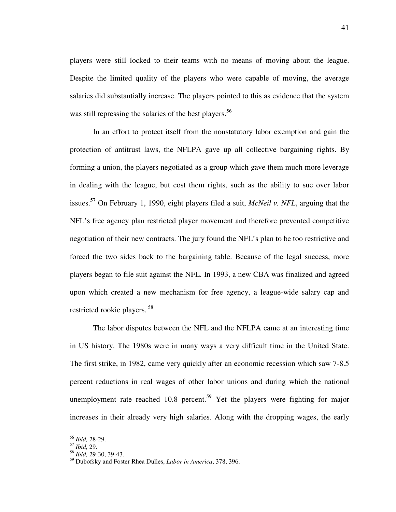players were still locked to their teams with no means of moving about the league. Despite the limited quality of the players who were capable of moving, the average salaries did substantially increase. The players pointed to this as evidence that the system was still repressing the salaries of the best players.<sup>56</sup>

In an effort to protect itself from the nonstatutory labor exemption and gain the protection of antitrust laws, the NFLPA gave up all collective bargaining rights. By forming a union, the players negotiated as a group which gave them much more leverage in dealing with the league, but cost them rights, such as the ability to sue over labor issues.<sup>57</sup> On February 1, 1990, eight players filed a suit, *McNeil v. NFL*, arguing that the NFL's free agency plan restricted player movement and therefore prevented competitive negotiation of their new contracts. The jury found the NFL's plan to be too restrictive and forced the two sides back to the bargaining table. Because of the legal success, more players began to file suit against the NFL. In 1993, a new CBA was finalized and agreed upon which created a new mechanism for free agency, a league-wide salary cap and restricted rookie players.<sup>58</sup>

The labor disputes between the NFL and the NFLPA came at an interesting time in US history. The 1980s were in many ways a very difficult time in the United State. The first strike, in 1982, came very quickly after an economic recession which saw 7-8.5 percent reductions in real wages of other labor unions and during which the national unemployment rate reached 10.8 percent.<sup>59</sup> Yet the players were fighting for major increases in their already very high salaries. Along with the dropping wages, the early

<sup>56</sup> *Ibid,* 28-29.

<sup>57</sup> *Ibid,* 29.

<sup>58</sup> *Ibid,* 29-30, 39-43.

<sup>59</sup> Dubofsky and Foster Rhea Dulles, *Labor in America*, 378, 396.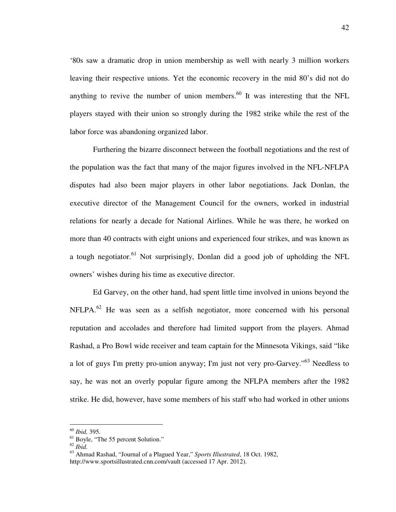'80s saw a dramatic drop in union membership as well with nearly 3 million workers leaving their respective unions. Yet the economic recovery in the mid 80's did not do anything to revive the number of union members. $60$  It was interesting that the NFL players stayed with their union so strongly during the 1982 strike while the rest of the labor force was abandoning organized labor.

Furthering the bizarre disconnect between the football negotiations and the rest of the population was the fact that many of the major figures involved in the NFL-NFLPA disputes had also been major players in other labor negotiations. Jack Donlan, the executive director of the Management Council for the owners, worked in industrial relations for nearly a decade for National Airlines. While he was there, he worked on more than 40 contracts with eight unions and experienced four strikes, and was known as a tough negotiator.<sup>61</sup> Not surprisingly, Donlan did a good job of upholding the NFL owners' wishes during his time as executive director.

Ed Garvey, on the other hand, had spent little time involved in unions beyond the NFLPA.<sup>62</sup> He was seen as a selfish negotiator, more concerned with his personal reputation and accolades and therefore had limited support from the players. Ahmad Rashad, a Pro Bowl wide receiver and team captain for the Minnesota Vikings, said "like a lot of guys I'm pretty pro-union anyway; I'm just not very pro-Garvey."<sup>63</sup> Needless to say, he was not an overly popular figure among the NFLPA members after the 1982 strike. He did, however, have some members of his staff who had worked in other unions

<sup>60</sup> *Ibid,* 395.

<sup>&</sup>lt;sup>61</sup> Boyle, "The 55 percent Solution."

<sup>62</sup> *Ibid.* 

<sup>63</sup> Ahmad Rashad, "Journal of a Plagued Year," *Sports Illustrated*, 18 Oct. 1982, http://www.sportsillustrated.cnn.com/vault (accessed 17 Apr. 2012).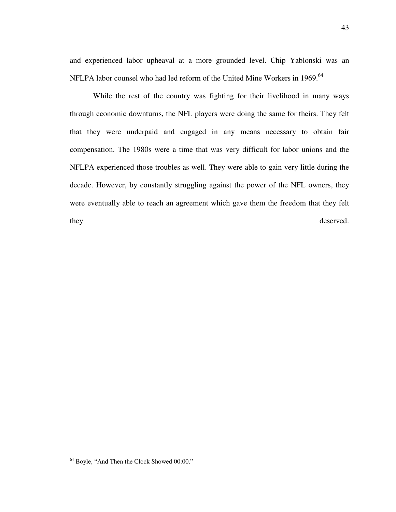and experienced labor upheaval at a more grounded level. Chip Yablonski was an NFLPA labor counsel who had led reform of the United Mine Workers in 1969.<sup>64</sup>

While the rest of the country was fighting for their livelihood in many ways through economic downturns, the NFL players were doing the same for theirs. They felt that they were underpaid and engaged in any means necessary to obtain fair compensation. The 1980s were a time that was very difficult for labor unions and the NFLPA experienced those troubles as well. They were able to gain very little during the decade. However, by constantly struggling against the power of the NFL owners, they were eventually able to reach an agreement which gave them the freedom that they felt they deserved.

<sup>64</sup> Boyle, "And Then the Clock Showed 00:00."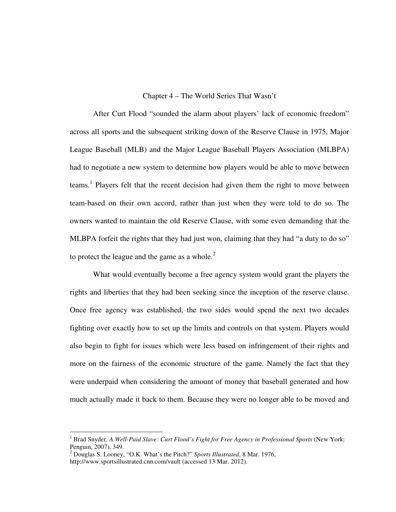## Chapter 4 – The World Series That Wasn't

 After Curt Flood "sounded the alarm about players' lack of economic freedom" across all sports and the subsequent striking down of the Reserve Clause in 1975, Major League Baseball (MLB) and the Major League Baseball Players Association (MLBPA) had to negotiate a new system to determine how players would be able to move between teams.<sup>1</sup> Players felt that the recent decision had given them the right to move between team-based on their own accord, rather than just when they were told to do so. The owners wanted to maintain the old Reserve Clause, with some even demanding that the MLBPA forfeit the rights that they had just won, claiming that they had "a duty to do so" to protect the league and the game as a whole. $2^2$ 

What would eventually become a free agency system would grant the players the rights and liberties that they had been seeking since the inception of the reserve clause. Once free agency was established, the two sides would spend the next two decades fighting over exactly how to set up the limits and controls on that system. Players would also begin to fight for issues which were less based on infringement of their rights and more on the fairness of the economic structure of the game. Namely the fact that they were underpaid when considering the amount of money that baseball generated and how much actually made it back to them. Because they were no longer able to be moved and

<sup>&</sup>lt;sup>1</sup> Brad Snyder, *A Well-Paid Slave: Curt Flood's Fight for Free Agency in Professional Sports* (New York: Penguin, 2007), 349.

<sup>2</sup> Douglas S. Looney, "O.K. What's the Pitch?" *Sports Illustrated*, 8 Mar. 1976, http://www.sportsillustrated.cnn.com/vault (accessed 13 Mar. 2012).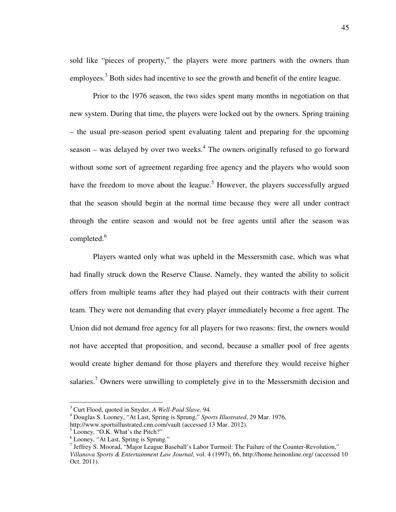sold like "pieces of property," the players were more partners with the owners than employees.<sup>3</sup> Both sides had incentive to see the growth and benefit of the entire league.

Prior to the 1976 season, the two sides spent many months in negotiation on that new system. During that time, the players were locked out by the owners. Spring training – the usual pre-season period spent evaluating talent and preparing for the upcoming season – was delayed by over two weeks. $4$  The owners originally refused to go forward without some sort of agreement regarding free agency and the players who would soon have the freedom to move about the league.<sup>5</sup> However, the players successfully argued that the season should begin at the normal time because they were all under contract through the entire season and would not be free agents until after the season was completed. $^6$ 

 Players wanted only what was upheld in the Messersmith case, which was what had finally struck down the Reserve Clause. Namely, they wanted the ability to solicit offers from multiple teams after they had played out their contracts with their current team. They were not demanding that every player immediately become a free agent. The Union did not demand free agency for all players for two reasons: first, the owners would not have accepted that proposition, and second, because a smaller pool of free agents would create higher demand for those players and therefore they would receive higher salaries.<sup>7</sup> Owners were unwilling to completely give in to the Messersmith decision and

 3 Curt Flood, quoted in Snyder, *A Well-Paid Slave,* 94.

<sup>4</sup> Douglas S. Looney, "At Last, Spring is Sprung," *Sports Illustrated*, 29 Mar. 1976,

http://www.sportsillustrated.cnn.com/vault (accessed 13 Mar. 2012).

<sup>&</sup>lt;sup>5</sup> Looney, "O.K. What's the Pitch?"

<sup>6</sup> Looney, "At Last, Spring is Sprung."

<sup>&</sup>lt;sup>7</sup> Jeffrey S. Moorad, "Major League Baseball's Labor Turmoil: The Failure of the Counter-Revolution," *Villanova Sports & Entertainment Law Journal*, vol. 4 (1997), 66, http://home.heinonline.org/ (accessed 10 Oct. 2011).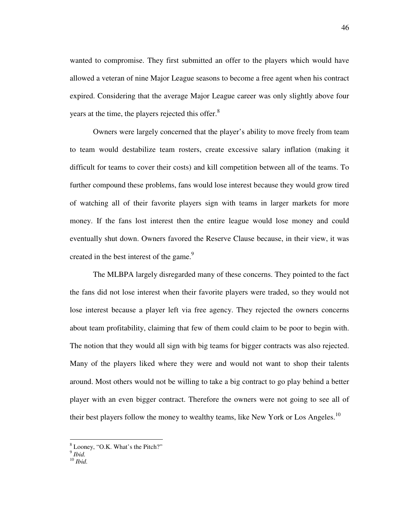wanted to compromise. They first submitted an offer to the players which would have allowed a veteran of nine Major League seasons to become a free agent when his contract expired. Considering that the average Major League career was only slightly above four years at the time, the players rejected this offer.<sup>8</sup>

 Owners were largely concerned that the player's ability to move freely from team to team would destabilize team rosters, create excessive salary inflation (making it difficult for teams to cover their costs) and kill competition between all of the teams. To further compound these problems, fans would lose interest because they would grow tired of watching all of their favorite players sign with teams in larger markets for more money. If the fans lost interest then the entire league would lose money and could eventually shut down. Owners favored the Reserve Clause because, in their view, it was created in the best interest of the game.<sup>9</sup>

 The MLBPA largely disregarded many of these concerns. They pointed to the fact the fans did not lose interest when their favorite players were traded, so they would not lose interest because a player left via free agency. They rejected the owners concerns about team profitability, claiming that few of them could claim to be poor to begin with. The notion that they would all sign with big teams for bigger contracts was also rejected. Many of the players liked where they were and would not want to shop their talents around. Most others would not be willing to take a big contract to go play behind a better player with an even bigger contract. Therefore the owners were not going to see all of their best players follow the money to wealthy teams, like New York or Los Angeles.<sup>10</sup>

<sup>&</sup>lt;sup>8</sup> Looney, "O.K. What's the Pitch?"

<sup>9</sup> *Ibid.* 

<sup>10</sup> *Ibid.*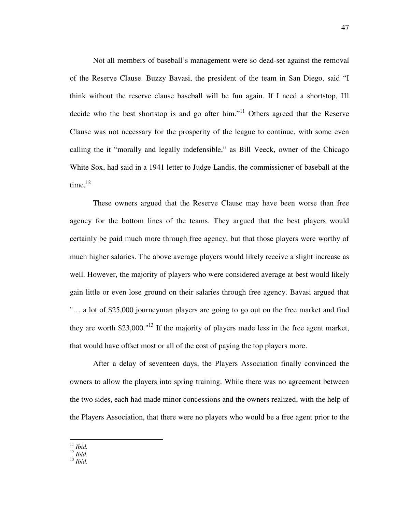Not all members of baseball's management were so dead-set against the removal of the Reserve Clause. Buzzy Bavasi, the president of the team in San Diego, said "I think without the reserve clause baseball will be fun again. If I need a shortstop, I'll decide who the best shortstop is and go after him."<sup>11</sup> Others agreed that the Reserve Clause was not necessary for the prosperity of the league to continue, with some even calling the it "morally and legally indefensible," as Bill Veeck, owner of the Chicago White Sox, had said in a 1941 letter to Judge Landis, the commissioner of baseball at the time. $12$ 

These owners argued that the Reserve Clause may have been worse than free agency for the bottom lines of the teams. They argued that the best players would certainly be paid much more through free agency, but that those players were worthy of much higher salaries. The above average players would likely receive a slight increase as well. However, the majority of players who were considered average at best would likely gain little or even lose ground on their salaries through free agency. Bavasi argued that "… a lot of \$25,000 journeyman players are going to go out on the free market and find they are worth  $$23,000$ ."<sup>13</sup> If the majority of players made less in the free agent market, that would have offset most or all of the cost of paying the top players more.

After a delay of seventeen days, the Players Association finally convinced the owners to allow the players into spring training. While there was no agreement between the two sides, each had made minor concessions and the owners realized, with the help of the Players Association, that there were no players who would be a free agent prior to the

<sup>11</sup> *Ibid.* 

 $\int_{12}^{1}$  *Ibid.* 

<sup>13</sup> *Ibid.*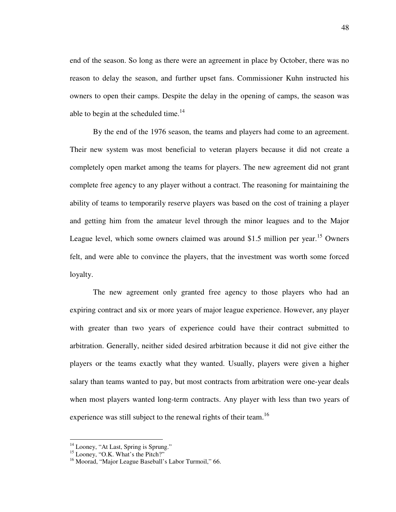end of the season. So long as there were an agreement in place by October, there was no reason to delay the season, and further upset fans. Commissioner Kuhn instructed his owners to open their camps. Despite the delay in the opening of camps, the season was able to begin at the scheduled time. $14$ 

 By the end of the 1976 season, the teams and players had come to an agreement. Their new system was most beneficial to veteran players because it did not create a completely open market among the teams for players. The new agreement did not grant complete free agency to any player without a contract. The reasoning for maintaining the ability of teams to temporarily reserve players was based on the cost of training a player and getting him from the amateur level through the minor leagues and to the Major League level, which some owners claimed was around \$1.5 million per year.<sup>15</sup> Owners felt, and were able to convince the players, that the investment was worth some forced loyalty.

The new agreement only granted free agency to those players who had an expiring contract and six or more years of major league experience. However, any player with greater than two years of experience could have their contract submitted to arbitration. Generally, neither sided desired arbitration because it did not give either the players or the teams exactly what they wanted. Usually, players were given a higher salary than teams wanted to pay, but most contracts from arbitration were one-year deals when most players wanted long-term contracts. Any player with less than two years of experience was still subject to the renewal rights of their team.<sup>16</sup>

<sup>&</sup>lt;sup>14</sup> Looney, "At Last, Spring is Sprung."

<sup>&</sup>lt;sup>15</sup> Looney, "O.K. What's the Pitch?"

<sup>&</sup>lt;sup>16</sup> Moorad, "Major League Baseball's Labor Turmoil," 66.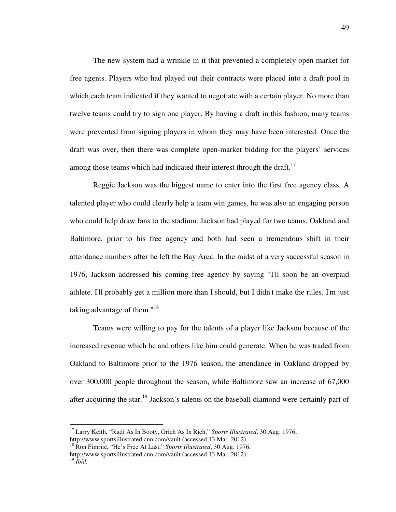The new system had a wrinkle in it that prevented a completely open market for free agents. Players who had played out their contracts were placed into a draft pool in which each team indicated if they wanted to negotiate with a certain player. No more than twelve teams could try to sign one player. By having a draft in this fashion, many teams were prevented from signing players in whom they may have been interested. Once the draft was over, then there was complete open-market bidding for the players' services among those teams which had indicated their interest through the draft.<sup>17</sup>

Reggie Jackson was the biggest name to enter into the first free agency class. A talented player who could clearly help a team win games, he was also an engaging person who could help draw fans to the stadium. Jackson had played for two teams, Oakland and Baltimore, prior to his free agency and both had seen a tremendous shift in their attendance numbers after he left the Bay Area. In the midst of a very successful season in 1976, Jackson addressed his coming free agency by saying "I'll soon be an overpaid athlete. I'll probably get a million more than I should, but I didn't make the rules. I'm just taking advantage of them."<sup>18</sup>

Teams were willing to pay for the talents of a player like Jackson because of the increased revenue which he and others like him could generate. When he was traded from Oakland to Baltimore prior to the 1976 season, the attendance in Oakland dropped by over 300,000 people throughout the season, while Baltimore saw an increase of 67,000 after acquiring the star.<sup>19</sup> Jackson's talents on the baseball diamond were certainly part of

<sup>&</sup>lt;sup>17</sup> Larry Keith, "Rudi As In Booty, Grich As In Rich," Sports Illustrated, 30 Aug. 1976, http://www.sportsillustrated.cnn.com/vault (accessed 13 Mar. 2012).

<sup>18</sup> Ron Fimrite, "He's Free At Last," *Sports Illustrated*, 30 Aug. 1976, http://www.sportsillustrated.cnn.com/vault (accessed 13 Mar. 2012). <sup>19</sup> *Ibid.*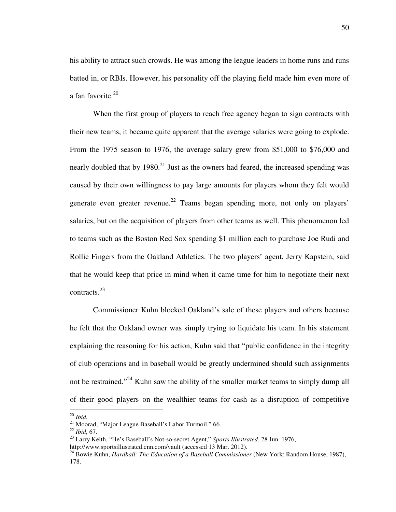his ability to attract such crowds. He was among the league leaders in home runs and runs batted in, or RBIs. However, his personality off the playing field made him even more of a fan favorite.<sup>20</sup>

When the first group of players to reach free agency began to sign contracts with their new teams, it became quite apparent that the average salaries were going to explode. From the 1975 season to 1976, the average salary grew from \$51,000 to \$76,000 and nearly doubled that by  $1980<sup>21</sup>$  Just as the owners had feared, the increased spending was caused by their own willingness to pay large amounts for players whom they felt would generate even greater revenue.<sup>22</sup> Teams began spending more, not only on players' salaries, but on the acquisition of players from other teams as well. This phenomenon led to teams such as the Boston Red Sox spending \$1 million each to purchase Joe Rudi and Rollie Fingers from the Oakland Athletics. The two players' agent, Jerry Kapstein, said that he would keep that price in mind when it came time for him to negotiate their next contracts.<sup>23</sup>

Commissioner Kuhn blocked Oakland's sale of these players and others because he felt that the Oakland owner was simply trying to liquidate his team. In his statement explaining the reasoning for his action, Kuhn said that "public confidence in the integrity of club operations and in baseball would be greatly undermined should such assignments not be restrained."<sup>24</sup> Kuhn saw the ability of the smaller market teams to simply dump all of their good players on the wealthier teams for cash as a disruption of competitive

<sup>20</sup> *Ibid.* 

 $21$  Moorad, "Major League Baseball's Labor Turmoil," 66.

<sup>22</sup> *Ibid,* 67.

<sup>23</sup> Larry Keith, "He's Baseball's Not-so-secret Agent," *Sports Illustrated*, 28 Jun. 1976, http://www.sportsillustrated.cnn.com/vault (accessed 13 Mar. 2012).

<sup>&</sup>lt;sup>24</sup> Bowie Kuhn, *Hardball: The Education of a Baseball Commissioner* (New York: Random House, 1987), 178.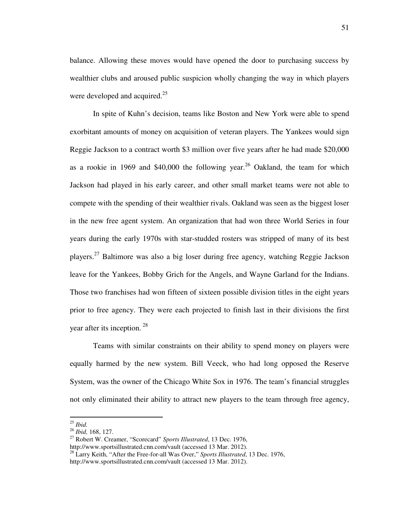balance. Allowing these moves would have opened the door to purchasing success by wealthier clubs and aroused public suspicion wholly changing the way in which players were developed and acquired.<sup>25</sup>

In spite of Kuhn's decision, teams like Boston and New York were able to spend exorbitant amounts of money on acquisition of veteran players. The Yankees would sign Reggie Jackson to a contract worth \$3 million over five years after he had made \$20,000 as a rookie in 1969 and \$40,000 the following year.<sup>26</sup> Oakland, the team for which Jackson had played in his early career, and other small market teams were not able to compete with the spending of their wealthier rivals. Oakland was seen as the biggest loser in the new free agent system. An organization that had won three World Series in four years during the early 1970s with star-studded rosters was stripped of many of its best players.<sup>27</sup> Baltimore was also a big loser during free agency, watching Reggie Jackson leave for the Yankees, Bobby Grich for the Angels, and Wayne Garland for the Indians. Those two franchises had won fifteen of sixteen possible division titles in the eight years prior to free agency. They were each projected to finish last in their divisions the first year after its inception.  $28$ 

Teams with similar constraints on their ability to spend money on players were equally harmed by the new system. Bill Veeck, who had long opposed the Reserve System, was the owner of the Chicago White Sox in 1976. The team's financial struggles not only eliminated their ability to attract new players to the team through free agency,

<sup>25</sup> *Ibid.* 

<sup>26</sup> *Ibid,* 168, 127.

<sup>27</sup> Robert W. Creamer, "Scorecard" *Sports Illustrated*, 13 Dec. 1976,

http://www.sportsillustrated.cnn.com/vault (accessed 13 Mar. 2012). <sup>28</sup> Larry Keith, "After the Free-for-all Was Over," *Sports Illustrated*, 13 Dec. 1976,

http://www.sportsillustrated.cnn.com/vault (accessed 13 Mar. 2012).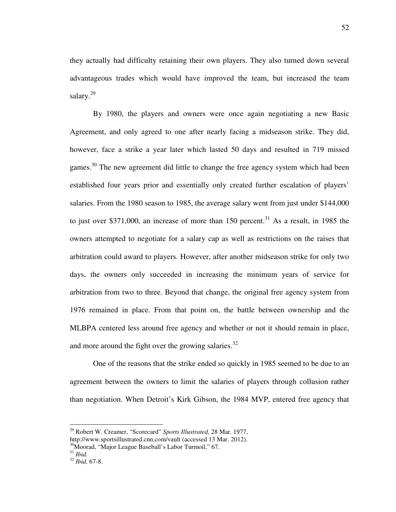they actually had difficulty retaining their own players. They also turned down several advantageous trades which would have improved the team, but increased the team salary.<sup>29</sup>

By 1980, the players and owners were once again negotiating a new Basic Agreement, and only agreed to one after nearly facing a midseason strike. They did, however, face a strike a year later which lasted 50 days and resulted in 719 missed games.<sup>30</sup> The new agreement did little to change the free agency system which had been established four years prior and essentially only created further escalation of players' salaries. From the 1980 season to 1985, the average salary went from just under \$144,000 to just over \$371,000, an increase of more than  $150$  percent.<sup>31</sup> As a result, in 1985 the owners attempted to negotiate for a salary cap as well as restrictions on the raises that arbitration could award to players. However, after another midseason strike for only two days, the owners only succeeded in increasing the minimum years of service for arbitration from two to three. Beyond that change, the original free agency system from 1976 remained in place. From that point on, the battle between ownership and the MLBPA centered less around free agency and whether or not it should remain in place, and more around the fight over the growing salaries.<sup>32</sup>

One of the reasons that the strike ended so quickly in 1985 seemed to be due to an agreement between the owners to limit the salaries of players through collusion rather than negotiation. When Detroit's Kirk Gibson, the 1984 MVP, entered free agency that

<sup>29</sup> Robert W. Creamer, "Scorecard" *Sports Illustrated,* 28 Mar. 1977,

http://www.sportsillustrated.cnn.com/vault (accessed 13 Mar. 2012).

<sup>&</sup>lt;sup>30</sup>Moorad, "Major League Baseball's Labor Turmoil," 67.

<sup>31</sup> *Ibid.*

<sup>32</sup> *Ibid,* 67-8.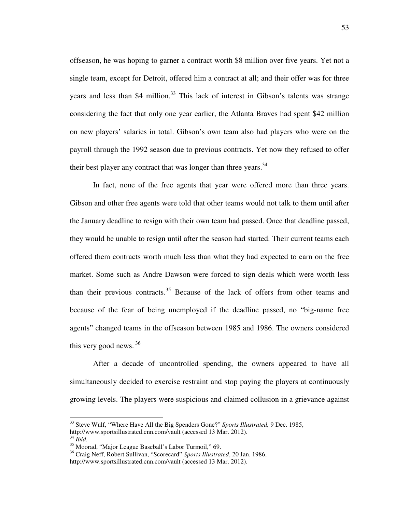offseason, he was hoping to garner a contract worth \$8 million over five years. Yet not a single team, except for Detroit, offered him a contract at all; and their offer was for three years and less than \$4 million.<sup>33</sup> This lack of interest in Gibson's talents was strange considering the fact that only one year earlier, the Atlanta Braves had spent \$42 million on new players' salaries in total. Gibson's own team also had players who were on the payroll through the 1992 season due to previous contracts. Yet now they refused to offer their best player any contract that was longer than three years.<sup>34</sup>

In fact, none of the free agents that year were offered more than three years. Gibson and other free agents were told that other teams would not talk to them until after the January deadline to resign with their own team had passed. Once that deadline passed, they would be unable to resign until after the season had started. Their current teams each offered them contracts worth much less than what they had expected to earn on the free market. Some such as Andre Dawson were forced to sign deals which were worth less than their previous contracts.<sup>35</sup> Because of the lack of offers from other teams and because of the fear of being unemployed if the deadline passed, no "big-name free agents" changed teams in the offseason between 1985 and 1986. The owners considered this very good news.  $36$ 

After a decade of uncontrolled spending, the owners appeared to have all simultaneously decided to exercise restraint and stop paying the players at continuously growing levels. The players were suspicious and claimed collusion in a grievance against

<sup>33</sup> Steve Wulf, "Where Have All the Big Spenders Gone?" *Sports Illustrated,* 9 Dec. 1985, http://www.sportsillustrated.cnn.com/vault (accessed 13 Mar. 2012). <sup>34</sup> *Ibid.* 

<sup>35</sup> Moorad, "Major League Baseball's Labor Turmoil," 69.

<sup>36</sup> Craig Neff, Robert Sullivan, "Scorecard" *Sports Illustrated*, 20 Jan. 1986,

http://www.sportsillustrated.cnn.com/vault (accessed 13 Mar. 2012).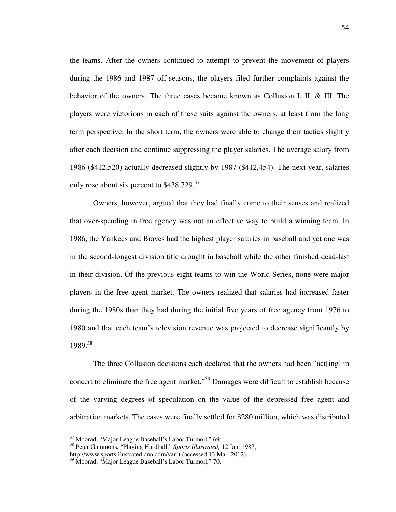the teams. After the owners continued to attempt to prevent the movement of players during the 1986 and 1987 off-seasons, the players filed further complaints against the behavior of the owners. The three cases became known as Collusion I, II, & III. The players were victorious in each of these suits against the owners, at least from the long term perspective. In the short term, the owners were able to change their tactics slightly after each decision and continue suppressing the player salaries. The average salary from 1986 (\$412,520) actually decreased slightly by 1987 (\$412,454). The next year, salaries only rose about six percent to \$438,729.<sup>37</sup>

Owners, however, argued that they had finally come to their senses and realized that over-spending in free agency was not an effective way to build a winning team. In 1986, the Yankees and Braves had the highest player salaries in baseball and yet one was in the second-longest division title drought in baseball while the other finished dead-last in their division. Of the previous eight teams to win the World Series, none were major players in the free agent market. The owners realized that salaries had increased faster during the 1980s than they had during the initial five years of free agency from 1976 to 1980 and that each team's television revenue was projected to decrease significantly by 1989.<sup>38</sup>

The three Collusion decisions each declared that the owners had been "act[ing] in concert to eliminate the free agent market."<sup>39</sup> Damages were difficult to establish because of the varying degrees of speculation on the value of the depressed free agent and arbitration markets. The cases were finally settled for \$280 million, which was distributed

<sup>37</sup> Moorad, "Major League Baseball's Labor Turmoil," 69.

<sup>38</sup> Peter Gammons, "Playing Hardball," *Sports Illustrated,* 12 Jan. 1987,

http://www.sportsillustrated.cnn.com/vault (accessed 13 Mar. 2012).

<sup>&</sup>lt;sup>39</sup> Moorad, "Major League Baseball's Labor Turmoil," 70.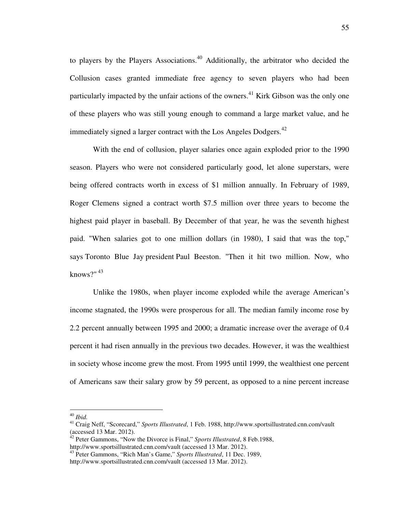to players by the Players Associations.<sup>40</sup> Additionally, the arbitrator who decided the Collusion cases granted immediate free agency to seven players who had been particularly impacted by the unfair actions of the owners.<sup>41</sup> Kirk Gibson was the only one of these players who was still young enough to command a large market value, and he immediately signed a larger contract with the Los Angeles Dodgers. $^{42}$ 

With the end of collusion, player salaries once again exploded prior to the 1990 season. Players who were not considered particularly good, let alone superstars, were being offered contracts worth in excess of \$1 million annually. In February of 1989, Roger Clemens signed a contract worth \$7.5 million over three years to become the highest paid player in baseball. By December of that year, he was the seventh highest paid. "When salaries got to one million dollars (in 1980), I said that was the top," says Toronto Blue Jay president Paul Beeston. "Then it hit two million. Now, who knows?"  $43$ 

Unlike the 1980s, when player income exploded while the average American's income stagnated, the 1990s were prosperous for all. The median family income rose by 2.2 percent annually between 1995 and 2000; a dramatic increase over the average of 0.4 percent it had risen annually in the previous two decades. However, it was the wealthiest in society whose income grew the most. From 1995 until 1999, the wealthiest one percent of Americans saw their salary grow by 59 percent, as opposed to a nine percent increase

<sup>40</sup> *Ibid.* 

<sup>41</sup> Craig Neff, "Scorecard," *Sports Illustrated*, 1 Feb. 1988, http://www.sportsillustrated.cnn.com/vault (accessed 13 Mar. 2012).

<sup>42</sup> Peter Gammons, "Now the Divorce is Final," *Sports Illustrated*, 8 Feb.1988, http://www.sportsillustrated.cnn.com/vault (accessed 13 Mar. 2012).

<sup>43</sup> Peter Gammons, "Rich Man's Game," *Sports Illustrated*, 11 Dec. 1989, http://www.sportsillustrated.cnn.com/vault (accessed 13 Mar. 2012).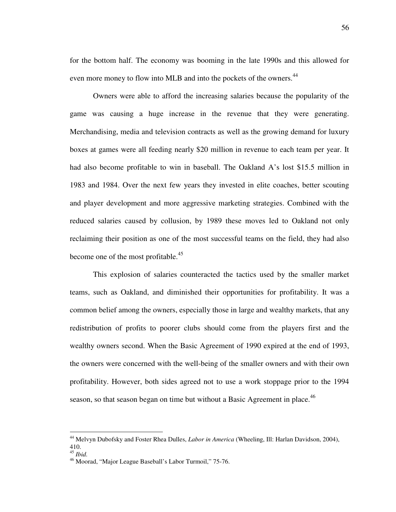for the bottom half. The economy was booming in the late 1990s and this allowed for even more money to flow into MLB and into the pockets of the owners.<sup>44</sup>

Owners were able to afford the increasing salaries because the popularity of the game was causing a huge increase in the revenue that they were generating. Merchandising, media and television contracts as well as the growing demand for luxury boxes at games were all feeding nearly \$20 million in revenue to each team per year. It had also become profitable to win in baseball. The Oakland A's lost \$15.5 million in 1983 and 1984. Over the next few years they invested in elite coaches, better scouting and player development and more aggressive marketing strategies. Combined with the reduced salaries caused by collusion, by 1989 these moves led to Oakland not only reclaiming their position as one of the most successful teams on the field, they had also become one of the most profitable.<sup>45</sup>

This explosion of salaries counteracted the tactics used by the smaller market teams, such as Oakland, and diminished their opportunities for profitability. It was a common belief among the owners, especially those in large and wealthy markets, that any redistribution of profits to poorer clubs should come from the players first and the wealthy owners second. When the Basic Agreement of 1990 expired at the end of 1993, the owners were concerned with the well-being of the smaller owners and with their own profitability. However, both sides agreed not to use a work stoppage prior to the 1994 season, so that season began on time but without a Basic Agreement in place.<sup>46</sup>

<sup>44</sup> Melvyn Dubofsky and Foster Rhea Dulles, *Labor in America* (Wheeling, Ill: Harlan Davidson, 2004), 410.

<sup>45</sup> *Ibid.*

<sup>&</sup>lt;sup>46</sup> Moorad, "Major League Baseball's Labor Turmoil," 75-76.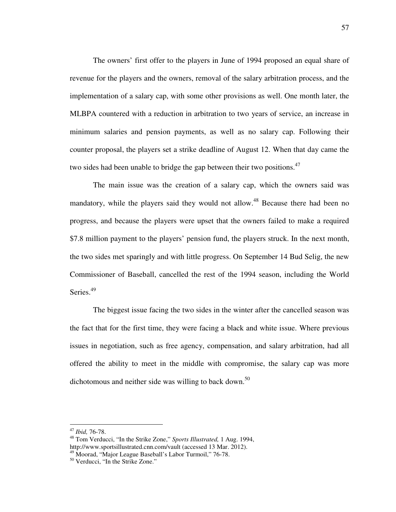The owners' first offer to the players in June of 1994 proposed an equal share of revenue for the players and the owners, removal of the salary arbitration process, and the implementation of a salary cap, with some other provisions as well. One month later, the MLBPA countered with a reduction in arbitration to two years of service, an increase in minimum salaries and pension payments, as well as no salary cap. Following their counter proposal, the players set a strike deadline of August 12. When that day came the two sides had been unable to bridge the gap between their two positions. $47$ 

The main issue was the creation of a salary cap, which the owners said was mandatory, while the players said they would not allow.<sup>48</sup> Because there had been no progress, and because the players were upset that the owners failed to make a required \$7.8 million payment to the players' pension fund, the players struck. In the next month, the two sides met sparingly and with little progress. On September 14 Bud Selig, the new Commissioner of Baseball, cancelled the rest of the 1994 season, including the World Series.<sup>49</sup>

The biggest issue facing the two sides in the winter after the cancelled season was the fact that for the first time, they were facing a black and white issue. Where previous issues in negotiation, such as free agency, compensation, and salary arbitration, had all offered the ability to meet in the middle with compromise, the salary cap was more dichotomous and neither side was willing to back down.<sup>50</sup>

-

<sup>47</sup> *Ibid,* 76-78.

<sup>48</sup> Tom Verducci, "In the Strike Zone," *Sports Illustrated,* 1 Aug. 1994, http://www.sportsillustrated.cnn.com/vault (accessed 13 Mar. 2012).

<sup>49</sup> Moorad, "Major League Baseball's Labor Turmoil," 76-78.

<sup>50</sup> Verducci, "In the Strike Zone."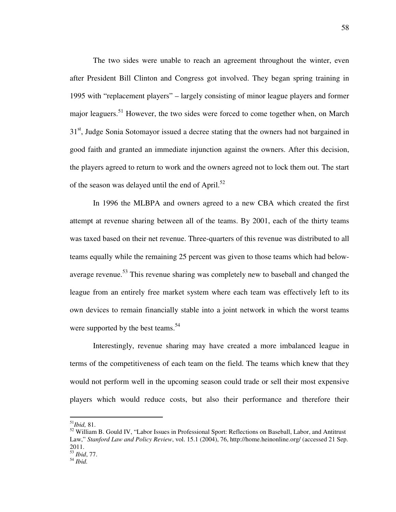The two sides were unable to reach an agreement throughout the winter, even after President Bill Clinton and Congress got involved. They began spring training in 1995 with "replacement players" – largely consisting of minor league players and former major leaguers.<sup>51</sup> However, the two sides were forced to come together when, on March 31<sup>st</sup>, Judge Sonia Sotomayor issued a decree stating that the owners had not bargained in good faith and granted an immediate injunction against the owners. After this decision, the players agreed to return to work and the owners agreed not to lock them out. The start of the season was delayed until the end of April.<sup>52</sup>

In 1996 the MLBPA and owners agreed to a new CBA which created the first attempt at revenue sharing between all of the teams. By 2001, each of the thirty teams was taxed based on their net revenue. Three-quarters of this revenue was distributed to all teams equally while the remaining 25 percent was given to those teams which had belowaverage revenue.<sup>53</sup> This revenue sharing was completely new to baseball and changed the league from an entirely free market system where each team was effectively left to its own devices to remain financially stable into a joint network in which the worst teams were supported by the best teams.<sup>54</sup>

Interestingly, revenue sharing may have created a more imbalanced league in terms of the competitiveness of each team on the field. The teams which knew that they would not perform well in the upcoming season could trade or sell their most expensive players which would reduce costs, but also their performance and therefore their

<sup>51</sup>*Ibid,* 81.

<sup>&</sup>lt;sup>52</sup> William B. Gould IV, "Labor Issues in Professional Sport: Reflections on Baseball, Labor, and Antitrust Law," *Stanford Law and Policy Review*, vol. 15.1 (2004), 76, http://home.heinonline.org/ (accessed 21 Sep. 2011. <sup>53</sup> *Ibid*, 77.

<sup>54</sup> *Ibid.*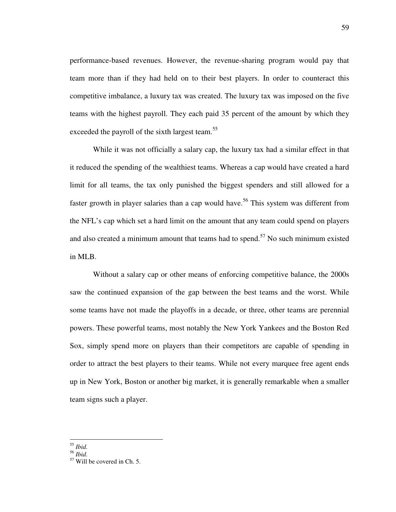performance-based revenues. However, the revenue-sharing program would pay that team more than if they had held on to their best players. In order to counteract this competitive imbalance, a luxury tax was created. The luxury tax was imposed on the five teams with the highest payroll. They each paid 35 percent of the amount by which they exceeded the payroll of the sixth largest team.<sup>55</sup>

While it was not officially a salary cap, the luxury tax had a similar effect in that it reduced the spending of the wealthiest teams. Whereas a cap would have created a hard limit for all teams, the tax only punished the biggest spenders and still allowed for a faster growth in player salaries than a cap would have.<sup>56</sup> This system was different from the NFL's cap which set a hard limit on the amount that any team could spend on players and also created a minimum amount that teams had to spend.<sup>57</sup> No such minimum existed in MLB.

Without a salary cap or other means of enforcing competitive balance, the 2000s saw the continued expansion of the gap between the best teams and the worst. While some teams have not made the playoffs in a decade, or three, other teams are perennial powers. These powerful teams, most notably the New York Yankees and the Boston Red Sox, simply spend more on players than their competitors are capable of spending in order to attract the best players to their teams. While not every marquee free agent ends up in New York, Boston or another big market, it is generally remarkable when a smaller team signs such a player.

<sup>55</sup> *Ibid.* 

<sup>56</sup> *Ibid.* 

<sup>57</sup> Will be covered in Ch. 5.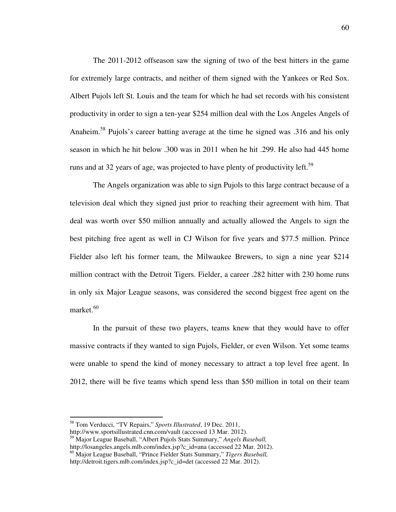The 2011-2012 offseason saw the signing of two of the best hitters in the game for extremely large contracts, and neither of them signed with the Yankees or Red Sox. Albert Pujols left St. Louis and the team for which he had set records with his consistent productivity in order to sign a ten-year \$254 million deal with the Los Angeles Angels of Anaheim.<sup>58</sup> Pujols's career batting average at the time he signed was .316 and his only season in which he hit below .300 was in 2011 when he hit .299. He also had 445 home runs and at 32 years of age, was projected to have plenty of productivity left.<sup>59</sup>

The Angels organization was able to sign Pujols to this large contract because of a television deal which they signed just prior to reaching their agreement with him. That deal was worth over \$50 million annually and actually allowed the Angels to sign the best pitching free agent as well in CJ Wilson for five years and \$77.5 million. Prince Fielder also left his former team, the Milwaukee Brewers, to sign a nine year \$214 million contract with the Detroit Tigers. Fielder, a career .282 hitter with 230 home runs in only six Major League seasons, was considered the second biggest free agent on the market.<sup>60</sup>

In the pursuit of these two players, teams knew that they would have to offer massive contracts if they wanted to sign Pujols, Fielder, or even Wilson. Yet some teams were unable to spend the kind of money necessary to attract a top level free agent. In 2012, there will be five teams which spend less than \$50 million in total on their team

<sup>58</sup> Tom Verducci, "TV Repairs," *Sports Illustrated*, 19 Dec. 2011,

http://www.sportsillustrated.cnn.com/vault (accessed 13 Mar. 2012).

<sup>59</sup> Major League Baseball, "Albert Pujols Stats Summary," *Angels Baseball,* http://losangeles.angels.mlb.com/index.jsp?c\_id=ana (accessed 22 Mar. 2012).

<sup>60</sup> Major League Baseball, "Prince Fielder Stats Summary," *Tigers Baseball,* http://detroit.tigers.mlb.com/index.jsp?c\_id=det (accessed 22 Mar. 2012).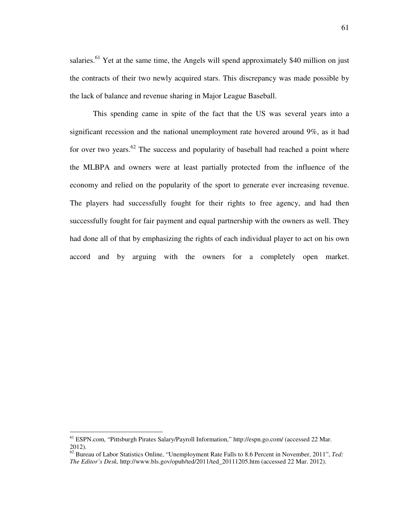salaries.<sup>61</sup> Yet at the same time, the Angels will spend approximately \$40 million on just the contracts of their two newly acquired stars. This discrepancy was made possible by the lack of balance and revenue sharing in Major League Baseball.

This spending came in spite of the fact that the US was several years into a significant recession and the national unemployment rate hovered around 9%, as it had for over two years. $62$  The success and popularity of baseball had reached a point where the MLBPA and owners were at least partially protected from the influence of the economy and relied on the popularity of the sport to generate ever increasing revenue. The players had successfully fought for their rights to free agency, and had then successfully fought for fair payment and equal partnership with the owners as well. They had done all of that by emphasizing the rights of each individual player to act on his own accord and by arguing with the owners for a completely open market.

<sup>&</sup>lt;sup>61</sup> ESPN.com, "Pittsburgh Pirates Salary/Payroll Information," http://espn.go.com/ (accessed 22 Mar. 2012).

<sup>62</sup> Bureau of Labor Statistics Online, "Unemployment Rate Falls to 8.6 Percent in November, 2011", *Ted: The Editor's Desk,* http://www.bls.gov/opub/ted/2011/ted\_20111205.htm (accessed 22 Mar. 2012).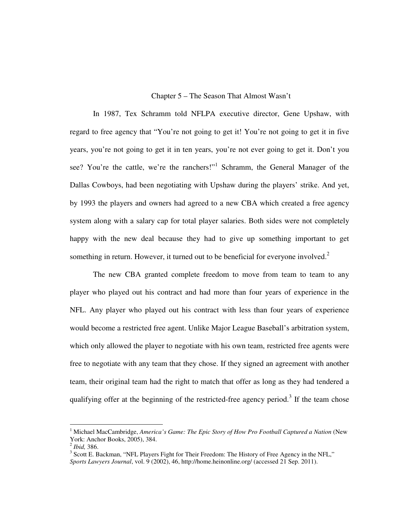## Chapter 5 – The Season That Almost Wasn't

In 1987, Tex Schramm told NFLPA executive director, Gene Upshaw, with regard to free agency that "You're not going to get it! You're not going to get it in five years, you're not going to get it in ten years, you're not ever going to get it. Don't you see? You're the cattle, we're the ranchers!"<sup>1</sup> Schramm, the General Manager of the Dallas Cowboys, had been negotiating with Upshaw during the players' strike. And yet, by 1993 the players and owners had agreed to a new CBA which created a free agency system along with a salary cap for total player salaries. Both sides were not completely happy with the new deal because they had to give up something important to get something in return. However, it turned out to be beneficial for everyone involved.<sup>2</sup>

The new CBA granted complete freedom to move from team to team to any player who played out his contract and had more than four years of experience in the NFL. Any player who played out his contract with less than four years of experience would become a restricted free agent. Unlike Major League Baseball's arbitration system, which only allowed the player to negotiate with his own team, restricted free agents were free to negotiate with any team that they chose. If they signed an agreement with another team, their original team had the right to match that offer as long as they had tendered a qualifying offer at the beginning of the restricted-free agency period.<sup>3</sup> If the team chose

-

<sup>&</sup>lt;sup>1</sup> Michael MacCambridge, *America's Game: The Epic Story of How Pro Football Captured a Nation* (New York: Anchor Books, 2005), 384.

<sup>2</sup> *Ibid,* 386.

<sup>&</sup>lt;sup>3</sup> Scott E. Backman, "NFL Players Fight for Their Freedom: The History of Free Agency in the NFL," *Sports Lawyers Journal*, vol. 9 (2002), 46, http://home.heinonline.org/ (accessed 21 Sep. 2011).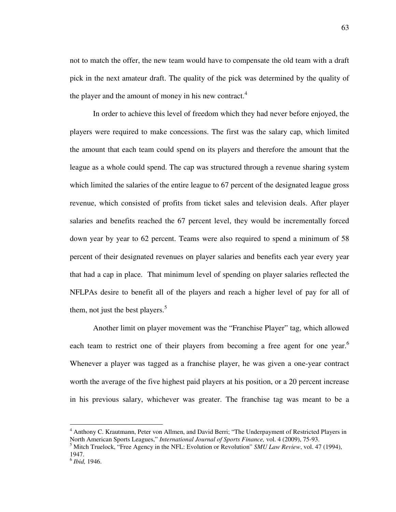not to match the offer, the new team would have to compensate the old team with a draft pick in the next amateur draft. The quality of the pick was determined by the quality of the player and the amount of money in his new contract. $4$ 

In order to achieve this level of freedom which they had never before enjoyed, the players were required to make concessions. The first was the salary cap, which limited the amount that each team could spend on its players and therefore the amount that the league as a whole could spend. The cap was structured through a revenue sharing system which limited the salaries of the entire league to 67 percent of the designated league gross revenue, which consisted of profits from ticket sales and television deals. After player salaries and benefits reached the 67 percent level, they would be incrementally forced down year by year to 62 percent. Teams were also required to spend a minimum of 58 percent of their designated revenues on player salaries and benefits each year every year that had a cap in place. That minimum level of spending on player salaries reflected the NFLPAs desire to benefit all of the players and reach a higher level of pay for all of them, not just the best players. $5$ 

Another limit on player movement was the "Franchise Player" tag, which allowed each team to restrict one of their players from becoming a free agent for one year.<sup>6</sup> Whenever a player was tagged as a franchise player, he was given a one-year contract worth the average of the five highest paid players at his position, or a 20 percent increase in his previous salary, whichever was greater. The franchise tag was meant to be a

 4 Anthony C. Krautmann, Peter von Allmen, and David Berri; "The Underpayment of Restricted Players in North American Sports Leagues," *International Journal of Sports Finance,* vol. 4 (2009), 75-93.

<sup>5</sup> Mitch Truelock, "Free Agency in the NFL: Evolution or Revolution" *SMU Law Review*, vol. 47 (1994), 1947.

<sup>6</sup> *Ibid,* 1946.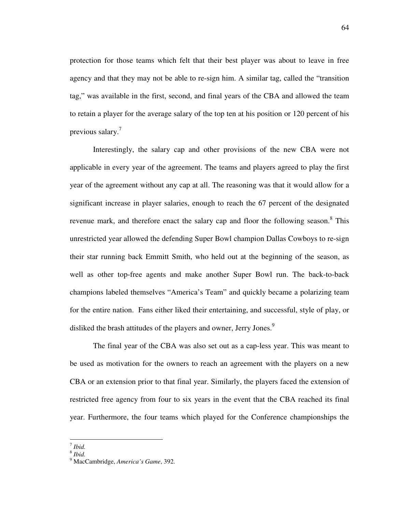protection for those teams which felt that their best player was about to leave in free agency and that they may not be able to re-sign him. A similar tag, called the "transition tag," was available in the first, second, and final years of the CBA and allowed the team to retain a player for the average salary of the top ten at his position or 120 percent of his previous salary.<sup>7</sup>

Interestingly, the salary cap and other provisions of the new CBA were not applicable in every year of the agreement. The teams and players agreed to play the first year of the agreement without any cap at all. The reasoning was that it would allow for a significant increase in player salaries, enough to reach the 67 percent of the designated revenue mark, and therefore enact the salary cap and floor the following season.<sup>8</sup> This unrestricted year allowed the defending Super Bowl champion Dallas Cowboys to re-sign their star running back Emmitt Smith, who held out at the beginning of the season, as well as other top-free agents and make another Super Bowl run. The back-to-back champions labeled themselves "America's Team" and quickly became a polarizing team for the entire nation. Fans either liked their entertaining, and successful, style of play, or disliked the brash attitudes of the players and owner, Jerry Jones.<sup>9</sup>

The final year of the CBA was also set out as a cap-less year. This was meant to be used as motivation for the owners to reach an agreement with the players on a new CBA or an extension prior to that final year. Similarly, the players faced the extension of restricted free agency from four to six years in the event that the CBA reached its final year. Furthermore, the four teams which played for the Conference championships the

 7 *Ibid.* 

<sup>8</sup> *Ibid.* 

<sup>9</sup> MacCambridge, *America's Game*, 392.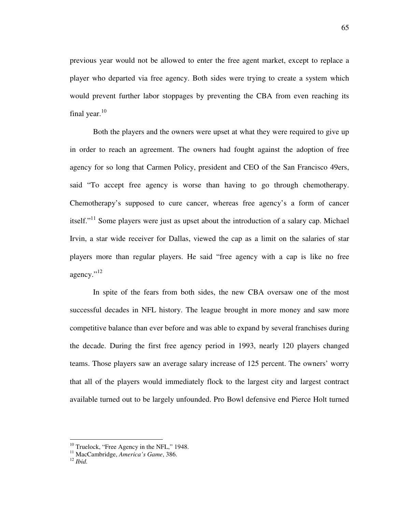previous year would not be allowed to enter the free agent market, except to replace a player who departed via free agency. Both sides were trying to create a system which would prevent further labor stoppages by preventing the CBA from even reaching its final year. $^{10}$ 

Both the players and the owners were upset at what they were required to give up in order to reach an agreement. The owners had fought against the adoption of free agency for so long that Carmen Policy, president and CEO of the San Francisco 49ers, said "To accept free agency is worse than having to go through chemotherapy. Chemotherapy's supposed to cure cancer, whereas free agency's a form of cancer itself."<sup>11</sup> Some players were just as upset about the introduction of a salary cap. Michael Irvin, a star wide receiver for Dallas, viewed the cap as a limit on the salaries of star players more than regular players. He said "free agency with a cap is like no free agency."<sup>12</sup>

In spite of the fears from both sides, the new CBA oversaw one of the most successful decades in NFL history. The league brought in more money and saw more competitive balance than ever before and was able to expand by several franchises during the decade. During the first free agency period in 1993, nearly 120 players changed teams. Those players saw an average salary increase of 125 percent. The owners' worry that all of the players would immediately flock to the largest city and largest contract available turned out to be largely unfounded. Pro Bowl defensive end Pierce Holt turned

 $10$  Truelock, "Free Agency in the NFL," 1948.

<sup>11</sup> MacCambridge, *America's Game*, 386.

<sup>12</sup> *Ibid.*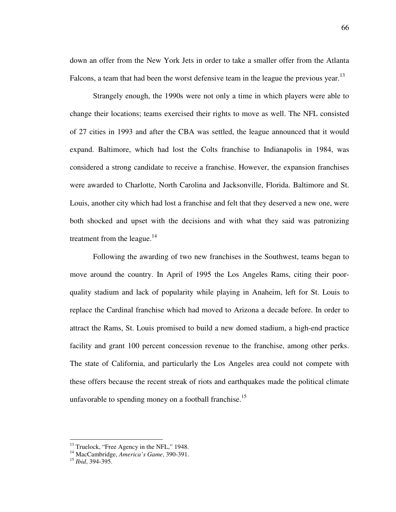down an offer from the New York Jets in order to take a smaller offer from the Atlanta Falcons, a team that had been the worst defensive team in the league the previous year.<sup>13</sup>

Strangely enough, the 1990s were not only a time in which players were able to change their locations; teams exercised their rights to move as well. The NFL consisted of 27 cities in 1993 and after the CBA was settled, the league announced that it would expand. Baltimore, which had lost the Colts franchise to Indianapolis in 1984, was considered a strong candidate to receive a franchise. However, the expansion franchises were awarded to Charlotte, North Carolina and Jacksonville, Florida. Baltimore and St. Louis, another city which had lost a franchise and felt that they deserved a new one, were both shocked and upset with the decisions and with what they said was patronizing treatment from the league. $14$ 

Following the awarding of two new franchises in the Southwest, teams began to move around the country. In April of 1995 the Los Angeles Rams, citing their poorquality stadium and lack of popularity while playing in Anaheim, left for St. Louis to replace the Cardinal franchise which had moved to Arizona a decade before. In order to attract the Rams, St. Louis promised to build a new domed stadium, a high-end practice facility and grant 100 percent concession revenue to the franchise, among other perks. The state of California, and particularly the Los Angeles area could not compete with these offers because the recent streak of riots and earthquakes made the political climate unfavorable to spending money on a football franchise.<sup>15</sup>

 $13$  Truelock, "Free Agency in the NFL," 1948.

<sup>14</sup> MacCambridge, *America's Game*, 390-391.

<sup>15</sup> *Ibid*, 394-395.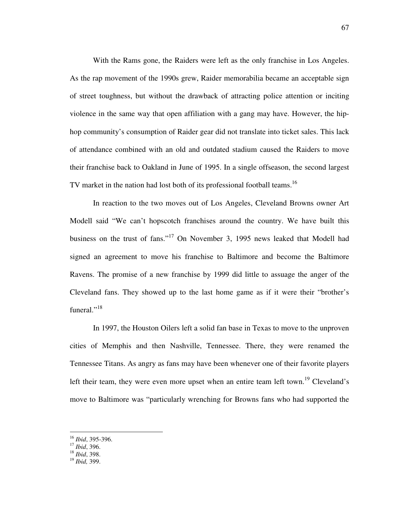With the Rams gone, the Raiders were left as the only franchise in Los Angeles. As the rap movement of the 1990s grew, Raider memorabilia became an acceptable sign of street toughness, but without the drawback of attracting police attention or inciting violence in the same way that open affiliation with a gang may have. However, the hiphop community's consumption of Raider gear did not translate into ticket sales. This lack of attendance combined with an old and outdated stadium caused the Raiders to move their franchise back to Oakland in June of 1995. In a single offseason, the second largest TV market in the nation had lost both of its professional football teams.<sup>16</sup>

In reaction to the two moves out of Los Angeles, Cleveland Browns owner Art Modell said "We can't hopscotch franchises around the country. We have built this business on the trust of fans."<sup>17</sup> On November 3, 1995 news leaked that Modell had signed an agreement to move his franchise to Baltimore and become the Baltimore Ravens. The promise of a new franchise by 1999 did little to assuage the anger of the Cleveland fans. They showed up to the last home game as if it were their "brother's funeral."<sup>18</sup>

In 1997, the Houston Oilers left a solid fan base in Texas to move to the unproven cities of Memphis and then Nashville, Tennessee. There, they were renamed the Tennessee Titans. As angry as fans may have been whenever one of their favorite players left their team, they were even more upset when an entire team left town.<sup>19</sup> Cleveland's move to Baltimore was "particularly wrenching for Browns fans who had supported the

<sup>16</sup> *Ibid*, 395-396.

<sup>17</sup> *Ibid*, 396.

<sup>18</sup> *Ibid*, 398.

<sup>19</sup> *Ibid,* 399.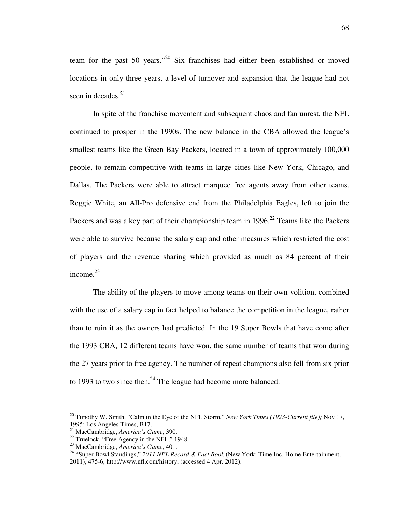team for the past 50 years."<sup>20</sup> Six franchises had either been established or moved locations in only three years, a level of turnover and expansion that the league had not seen in decades. $^{21}$ 

In spite of the franchise movement and subsequent chaos and fan unrest, the NFL continued to prosper in the 1990s. The new balance in the CBA allowed the league's smallest teams like the Green Bay Packers, located in a town of approximately 100,000 people, to remain competitive with teams in large cities like New York, Chicago, and Dallas. The Packers were able to attract marquee free agents away from other teams. Reggie White, an All-Pro defensive end from the Philadelphia Eagles, left to join the Packers and was a key part of their championship team in  $1996$ <sup>22</sup> Teams like the Packers were able to survive because the salary cap and other measures which restricted the cost of players and the revenue sharing which provided as much as 84 percent of their income. $23$ 

The ability of the players to move among teams on their own volition, combined with the use of a salary cap in fact helped to balance the competition in the league, rather than to ruin it as the owners had predicted. In the 19 Super Bowls that have come after the 1993 CBA, 12 different teams have won, the same number of teams that won during the 27 years prior to free agency. The number of repeat champions also fell from six prior to 1993 to two since then.<sup>24</sup> The league had become more balanced.

<sup>20</sup> Timothy W. Smith, "Calm in the Eye of the NFL Storm," *New York Times (1923-Current file);* Nov 17, 1995; Los Angeles Times, B17.

<sup>21</sup> MacCambridge, *America's Game*, 390.

<sup>&</sup>lt;sup>22</sup> Truelock, "Free Agency in the NFL," 1948.

<sup>23</sup> MacCambridge, *America's Game*, 401.

<sup>24</sup> "Super Bowl Standings," *2011 NFL Record & Fact Book* (New York: Time Inc. Home Entertainment, 2011), 475-6, http://www.nfl.com/history, (accessed 4 Apr. 2012).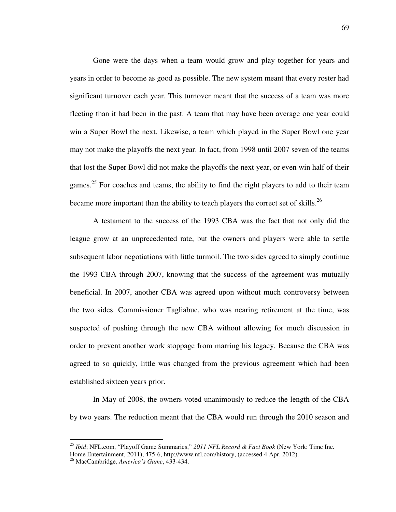Gone were the days when a team would grow and play together for years and years in order to become as good as possible. The new system meant that every roster had significant turnover each year. This turnover meant that the success of a team was more fleeting than it had been in the past. A team that may have been average one year could win a Super Bowl the next. Likewise, a team which played in the Super Bowl one year may not make the playoffs the next year. In fact, from 1998 until 2007 seven of the teams that lost the Super Bowl did not make the playoffs the next year, or even win half of their games.<sup>25</sup> For coaches and teams, the ability to find the right players to add to their team became more important than the ability to teach players the correct set of skills.<sup>26</sup>

A testament to the success of the 1993 CBA was the fact that not only did the league grow at an unprecedented rate, but the owners and players were able to settle subsequent labor negotiations with little turmoil. The two sides agreed to simply continue the 1993 CBA through 2007, knowing that the success of the agreement was mutually beneficial. In 2007, another CBA was agreed upon without much controversy between the two sides. Commissioner Tagliabue, who was nearing retirement at the time, was suspected of pushing through the new CBA without allowing for much discussion in order to prevent another work stoppage from marring his legacy. Because the CBA was agreed to so quickly, little was changed from the previous agreement which had been established sixteen years prior.

In May of 2008, the owners voted unanimously to reduce the length of the CBA by two years. The reduction meant that the CBA would run through the 2010 season and

<sup>25</sup> *Ibid*; NFL.com, "Playoff Game Summaries," *2011 NFL Record & Fact Book* (New York: Time Inc. Home Entertainment, 2011), 475-6, http://www.nfl.com/history, (accessed 4 Apr. 2012).

<sup>26</sup> MacCambridge, *America's Game*, 433-434.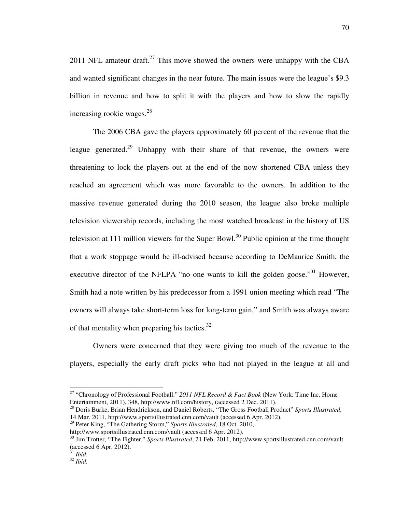2011 NFL amateur draft.<sup>27</sup> This move showed the owners were unhappy with the CBA and wanted significant changes in the near future. The main issues were the league's \$9.3 billion in revenue and how to split it with the players and how to slow the rapidly increasing rookie wages. $^{28}$ 

The 2006 CBA gave the players approximately 60 percent of the revenue that the league generated.<sup>29</sup> Unhappy with their share of that revenue, the owners were threatening to lock the players out at the end of the now shortened CBA unless they reached an agreement which was more favorable to the owners. In addition to the massive revenue generated during the 2010 season, the league also broke multiple television viewership records, including the most watched broadcast in the history of US television at 111 million viewers for the Super Bowl.<sup>30</sup> Public opinion at the time thought that a work stoppage would be ill-advised because according to DeMaurice Smith, the executive director of the NFLPA "no one wants to kill the golden goose."<sup>31</sup> However, Smith had a note written by his predecessor from a 1991 union meeting which read "The owners will always take short-term loss for long-term gain," and Smith was always aware of that mentality when preparing his tactics.<sup>32</sup>

Owners were concerned that they were giving too much of the revenue to the players, especially the early draft picks who had not played in the league at all and

<sup>28</sup> Doris Burke, Brian Hendrickson, and Daniel Roberts, "The Gross Football Product" *Sports Illustrated*, 14 Mar. 2011, http://www.sportsillustrated.cnn.com/vault (accessed 6 Apr. 2012).

<sup>27</sup> "Chronology of Professional Football." *2011 NFL Record & Fact Book* (New York: Time Inc. Home Entertainment, 2011), 348, http://www.nfl.com/history, (accessed 2 Dec. 2011).

<sup>29</sup> Peter King, "The Gathering Storm," *Sports Illustrated,* 18 Oct. 2010,

http://www.sportsillustrated.cnn.com/vault (accessed 6 Apr. 2012).

<sup>30</sup> Jim Trotter, "The Fighter," *Sports Illustrated*, 21 Feb. 2011, http://www.sportsillustrated.cnn.com/vault (accessed 6 Apr. 2012).

<sup>31</sup> *Ibid.* 

<sup>32</sup> *Ibid.*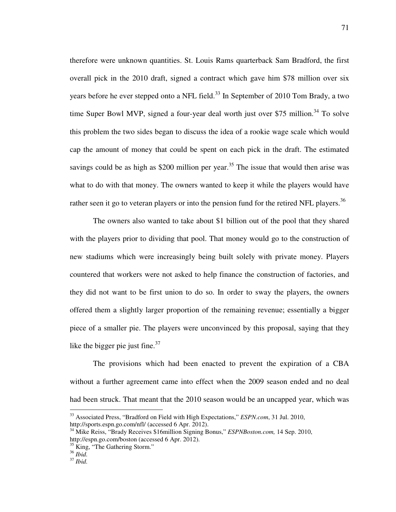therefore were unknown quantities. St. Louis Rams quarterback Sam Bradford, the first overall pick in the 2010 draft, signed a contract which gave him \$78 million over six years before he ever stepped onto a NFL field.<sup>33</sup> In September of 2010 Tom Brady, a two time Super Bowl MVP, signed a four-year deal worth just over \$75 million.<sup>34</sup> To solve this problem the two sides began to discuss the idea of a rookie wage scale which would cap the amount of money that could be spent on each pick in the draft. The estimated savings could be as high as \$200 million per year.<sup>35</sup> The issue that would then arise was what to do with that money. The owners wanted to keep it while the players would have rather seen it go to veteran players or into the pension fund for the retired NFL players.<sup>36</sup>

The owners also wanted to take about \$1 billion out of the pool that they shared with the players prior to dividing that pool. That money would go to the construction of new stadiums which were increasingly being built solely with private money. Players countered that workers were not asked to help finance the construction of factories, and they did not want to be first union to do so. In order to sway the players, the owners offered them a slightly larger proportion of the remaining revenue; essentially a bigger piece of a smaller pie. The players were unconvinced by this proposal, saying that they like the bigger pie just fine. $37$ 

The provisions which had been enacted to prevent the expiration of a CBA without a further agreement came into effect when the 2009 season ended and no deal had been struck. That meant that the 2010 season would be an uncapped year, which was

<sup>33</sup> Associated Press, "Bradford on Field with High Expectations," *ESPN.com*, 31 Jul. 2010, http://sports.espn.go.com/nfl/ (accessed 6 Apr. 2012).

<sup>34</sup> Mike Reiss, "Brady Receives \$16million Signing Bonus," *ESPNBoston.com,* 14 Sep. 2010, http://espn.go.com/boston (accessed 6 Apr. 2012).

<sup>&</sup>lt;sup>35</sup> King, "The Gathering Storm."

<sup>36</sup> *Ibid.*

<sup>37</sup> *Ibid.*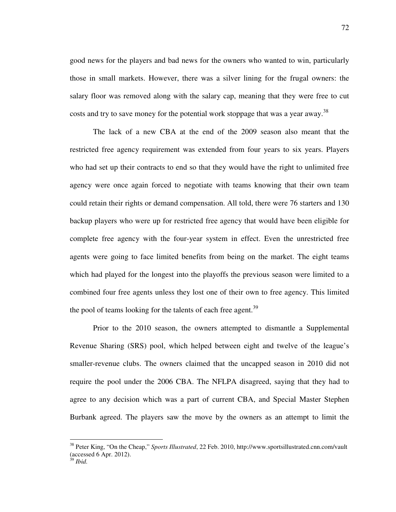good news for the players and bad news for the owners who wanted to win, particularly those in small markets. However, there was a silver lining for the frugal owners: the salary floor was removed along with the salary cap, meaning that they were free to cut costs and try to save money for the potential work stoppage that was a year away.<sup>38</sup>

The lack of a new CBA at the end of the 2009 season also meant that the restricted free agency requirement was extended from four years to six years. Players who had set up their contracts to end so that they would have the right to unlimited free agency were once again forced to negotiate with teams knowing that their own team could retain their rights or demand compensation. All told, there were 76 starters and 130 backup players who were up for restricted free agency that would have been eligible for complete free agency with the four-year system in effect. Even the unrestricted free agents were going to face limited benefits from being on the market. The eight teams which had played for the longest into the playoffs the previous season were limited to a combined four free agents unless they lost one of their own to free agency. This limited the pool of teams looking for the talents of each free agent.<sup>39</sup>

Prior to the 2010 season, the owners attempted to dismantle a Supplemental Revenue Sharing (SRS) pool, which helped between eight and twelve of the league's smaller-revenue clubs. The owners claimed that the uncapped season in 2010 did not require the pool under the 2006 CBA. The NFLPA disagreed, saying that they had to agree to any decision which was a part of current CBA, and Special Master Stephen Burbank agreed. The players saw the move by the owners as an attempt to limit the

<sup>38</sup> Peter King, "On the Cheap," *Sports Illustrated*, 22 Feb. 2010, http://www.sportsillustrated.cnn.com/vault (accessed 6 Apr. 2012).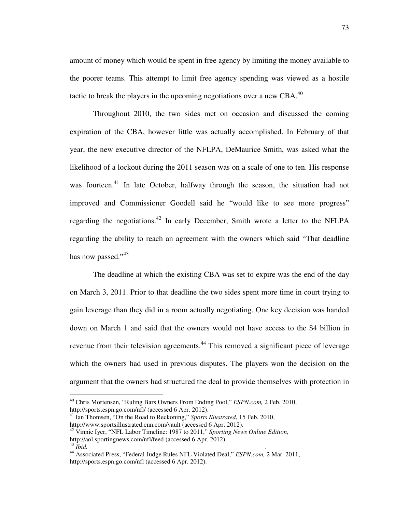amount of money which would be spent in free agency by limiting the money available to the poorer teams. This attempt to limit free agency spending was viewed as a hostile tactic to break the players in the upcoming negotiations over a new CBA. $^{40}$ 

Throughout 2010, the two sides met on occasion and discussed the coming expiration of the CBA, however little was actually accomplished. In February of that year, the new executive director of the NFLPA, DeMaurice Smith, was asked what the likelihood of a lockout during the 2011 season was on a scale of one to ten. His response was fourteen.<sup>41</sup> In late October, halfway through the season, the situation had not improved and Commissioner Goodell said he "would like to see more progress" regarding the negotiations.<sup>42</sup> In early December, Smith wrote a letter to the NFLPA regarding the ability to reach an agreement with the owners which said "That deadline has now passed."<sup>43</sup>

The deadline at which the existing CBA was set to expire was the end of the day on March 3, 2011. Prior to that deadline the two sides spent more time in court trying to gain leverage than they did in a room actually negotiating. One key decision was handed down on March 1 and said that the owners would not have access to the \$4 billion in revenue from their television agreements.<sup>44</sup> This removed a significant piece of leverage which the owners had used in previous disputes. The players won the decision on the argument that the owners had structured the deal to provide themselves with protection in

<sup>40</sup> Chris Mortensen, "Ruling Bars Owners From Ending Pool," *ESPN.com,* 2 Feb. 2010, http://sports.espn.go.com/nfl/ (accessed 6 Apr. 2012).

<sup>41</sup> Ian Thomsen, "On the Road to Reckoning," *Sports Illustrated*, 15 Feb. 2010, http://www.sportsillustrated.cnn.com/vault (accessed 6 Apr. 2012).

<sup>42</sup> Vinnie Iyer, "NFL Labor Timeline: 1987 to 2011," *Sporting News Online Edition*, http://aol.sportingnews.com/nfl/feed (accessed 6 Apr. 2012).<br><sup>43</sup> Ibid. <sup>43</sup> *Ibid. .*

<sup>44</sup> Associated Press, "Federal Judge Rules NFL Violated Deal," *ESPN.com,* 2 Mar. 2011, http://sports.espn.go.com/nfl (accessed 6 Apr. 2012).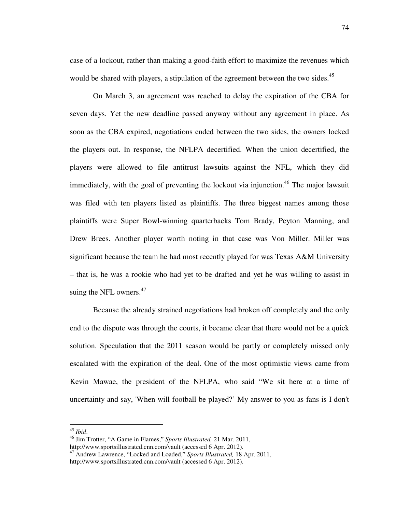case of a lockout, rather than making a good-faith effort to maximize the revenues which would be shared with players, a stipulation of the agreement between the two sides.<sup>45</sup>

On March 3, an agreement was reached to delay the expiration of the CBA for seven days. Yet the new deadline passed anyway without any agreement in place. As soon as the CBA expired, negotiations ended between the two sides, the owners locked the players out. In response, the NFLPA decertified. When the union decertified, the players were allowed to file antitrust lawsuits against the NFL, which they did immediately, with the goal of preventing the lockout via injunction.<sup>46</sup> The major lawsuit was filed with ten players listed as plaintiffs. The three biggest names among those plaintiffs were Super Bowl-winning quarterbacks Tom Brady, Peyton Manning, and Drew Brees. Another player worth noting in that case was Von Miller. Miller was significant because the team he had most recently played for was Texas A&M University – that is, he was a rookie who had yet to be drafted and yet he was willing to assist in suing the NFL owners. $47$ 

Because the already strained negotiations had broken off completely and the only end to the dispute was through the courts, it became clear that there would not be a quick solution. Speculation that the 2011 season would be partly or completely missed only escalated with the expiration of the deal. One of the most optimistic views came from Kevin Mawae, the president of the NFLPA, who said "We sit here at a time of uncertainty and say, 'When will football be played?' My answer to you as fans is I don't

<sup>45</sup> *Ibid*.

<sup>46</sup> Jim Trotter, "A Game in Flames," *Sports Illustrated,* 21 Mar. 2011,

http://www.sportsillustrated.cnn.com/vault (accessed 6 Apr. 2012). <sup>47</sup> Andrew Lawrence, "Locked and Loaded," *Sports Illustrated,* 18 Apr. 2011,

http://www.sportsillustrated.cnn.com/vault (accessed 6 Apr. 2012).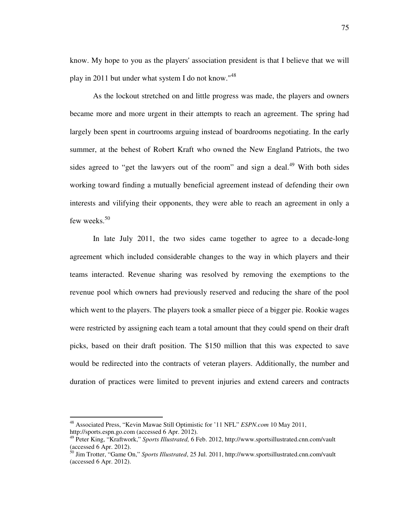know. My hope to you as the players' association president is that I believe that we will play in 2011 but under what system I do not know."<sup>48</sup>

As the lockout stretched on and little progress was made, the players and owners became more and more urgent in their attempts to reach an agreement. The spring had largely been spent in courtrooms arguing instead of boardrooms negotiating. In the early summer, at the behest of Robert Kraft who owned the New England Patriots, the two sides agreed to "get the lawyers out of the room" and sign a deal.<sup>49</sup> With both sides working toward finding a mutually beneficial agreement instead of defending their own interests and vilifying their opponents, they were able to reach an agreement in only a few weeks.<sup>50</sup>

In late July 2011, the two sides came together to agree to a decade-long agreement which included considerable changes to the way in which players and their teams interacted. Revenue sharing was resolved by removing the exemptions to the revenue pool which owners had previously reserved and reducing the share of the pool which went to the players. The players took a smaller piece of a bigger pie. Rookie wages were restricted by assigning each team a total amount that they could spend on their draft picks, based on their draft position. The \$150 million that this was expected to save would be redirected into the contracts of veteran players. Additionally, the number and duration of practices were limited to prevent injuries and extend careers and contracts

-

<sup>48</sup> Associated Press, "Kevin Mawae Still Optimistic for '11 NFL" *ESPN.com* 10 May 2011, http://sports.espn.go.com (accessed 6 Apr. 2012).

<sup>49</sup> Peter King, "Kraftwork," *Sports Illustrated,* 6 Feb. 2012, http://www.sportsillustrated.cnn.com/vault (accessed 6 Apr. 2012).

<sup>50</sup> Jim Trotter, "Game On," *Sports Illustrated*, 25 Jul. 2011, http://www.sportsillustrated.cnn.com/vault (accessed 6 Apr. 2012).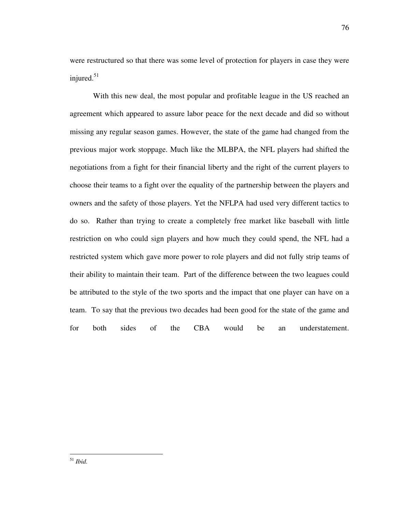were restructured so that there was some level of protection for players in case they were injured. $51$ 

With this new deal, the most popular and profitable league in the US reached an agreement which appeared to assure labor peace for the next decade and did so without missing any regular season games. However, the state of the game had changed from the previous major work stoppage. Much like the MLBPA, the NFL players had shifted the negotiations from a fight for their financial liberty and the right of the current players to choose their teams to a fight over the equality of the partnership between the players and owners and the safety of those players. Yet the NFLPA had used very different tactics to do so. Rather than trying to create a completely free market like baseball with little restriction on who could sign players and how much they could spend, the NFL had a restricted system which gave more power to role players and did not fully strip teams of their ability to maintain their team. Part of the difference between the two leagues could be attributed to the style of the two sports and the impact that one player can have on a team. To say that the previous two decades had been good for the state of the game and for both sides of the CBA would be an understatement.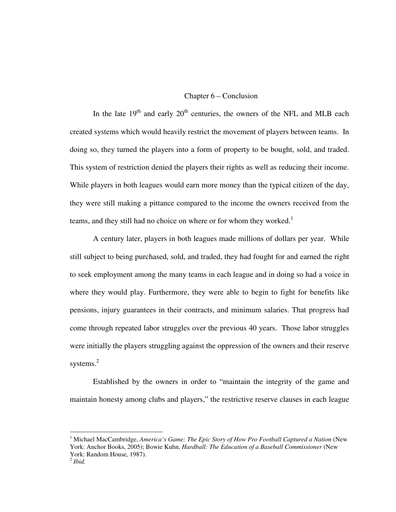## Chapter 6 – Conclusion

In the late  $19<sup>th</sup>$  and early  $20<sup>th</sup>$  centuries, the owners of the NFL and MLB each created systems which would heavily restrict the movement of players between teams. In doing so, they turned the players into a form of property to be bought, sold, and traded. This system of restriction denied the players their rights as well as reducing their income. While players in both leagues would earn more money than the typical citizen of the day, they were still making a pittance compared to the income the owners received from the teams, and they still had no choice on where or for whom they worked.<sup>1</sup>

A century later, players in both leagues made millions of dollars per year. While still subject to being purchased, sold, and traded, they had fought for and earned the right to seek employment among the many teams in each league and in doing so had a voice in where they would play. Furthermore, they were able to begin to fight for benefits like pensions, injury guarantees in their contracts, and minimum salaries. That progress had come through repeated labor struggles over the previous 40 years. Those labor struggles were initially the players struggling against the oppression of the owners and their reserve systems.<sup>2</sup>

Established by the owners in order to "maintain the integrity of the game and maintain honesty among clubs and players," the restrictive reserve clauses in each league

<sup>&</sup>lt;sup>1</sup> Michael MacCambridge, *America's Game: The Epic Story of How Pro Football Captured a Nation* (New York: Anchor Books, 2005); Bowie Kuhn, *Hardball: The Education of a Baseball Commissioner* (New York: Random House, 1987).

<sup>2</sup> *Ibid.*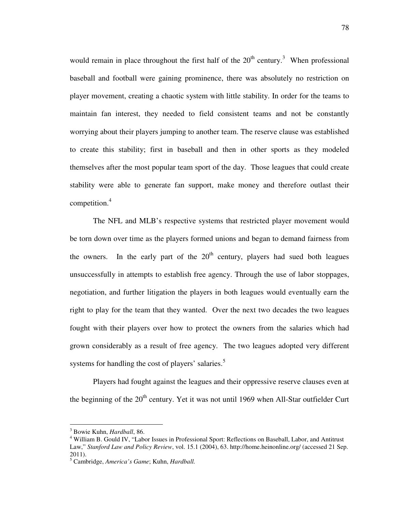would remain in place throughout the first half of the  $20<sup>th</sup>$  century.<sup>3</sup> When professional baseball and football were gaining prominence, there was absolutely no restriction on player movement, creating a chaotic system with little stability. In order for the teams to maintain fan interest, they needed to field consistent teams and not be constantly worrying about their players jumping to another team. The reserve clause was established to create this stability; first in baseball and then in other sports as they modeled themselves after the most popular team sport of the day. Those leagues that could create stability were able to generate fan support, make money and therefore outlast their competition.<sup>4</sup>

The NFL and MLB's respective systems that restricted player movement would be torn down over time as the players formed unions and began to demand fairness from the owners. In the early part of the  $20<sup>th</sup>$  century, players had sued both leagues unsuccessfully in attempts to establish free agency. Through the use of labor stoppages, negotiation, and further litigation the players in both leagues would eventually earn the right to play for the team that they wanted. Over the next two decades the two leagues fought with their players over how to protect the owners from the salaries which had grown considerably as a result of free agency. The two leagues adopted very different systems for handling the cost of players' salaries.<sup>5</sup>

Players had fought against the leagues and their oppressive reserve clauses even at the beginning of the  $20<sup>th</sup>$  century. Yet it was not until 1969 when All-Star outfielder Curt

<sup>3</sup> Bowie Kuhn, *Hardball*, 86.

<sup>&</sup>lt;sup>4</sup> William B. Gould IV, "Labor Issues in Professional Sport: Reflections on Baseball, Labor, and Antitrust Law," *Stanford Law and Policy Review*, vol. 15.1 (2004), 63. http://home.heinonline.org/ (accessed 21 Sep. 2011).

<sup>5</sup> Cambridge, *America's Game*; Kuhn, *Hardball.*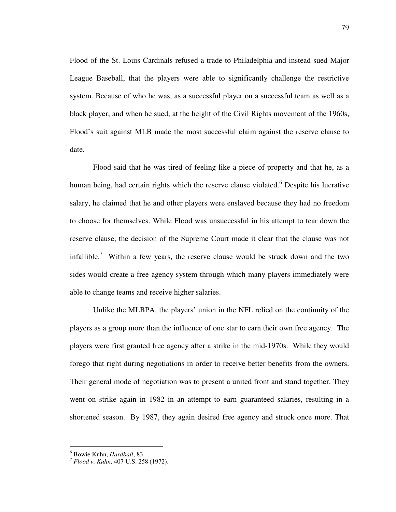Flood of the St. Louis Cardinals refused a trade to Philadelphia and instead sued Major League Baseball, that the players were able to significantly challenge the restrictive system. Because of who he was, as a successful player on a successful team as well as a black player, and when he sued, at the height of the Civil Rights movement of the 1960s, Flood's suit against MLB made the most successful claim against the reserve clause to date.

Flood said that he was tired of feeling like a piece of property and that he, as a human being, had certain rights which the reserve clause violated.<sup>6</sup> Despite his lucrative salary, he claimed that he and other players were enslaved because they had no freedom to choose for themselves. While Flood was unsuccessful in his attempt to tear down the reserve clause, the decision of the Supreme Court made it clear that the clause was not infallible.<sup>7</sup> Within a few years, the reserve clause would be struck down and the two sides would create a free agency system through which many players immediately were able to change teams and receive higher salaries.

Unlike the MLBPA, the players' union in the NFL relied on the continuity of the players as a group more than the influence of one star to earn their own free agency. The players were first granted free agency after a strike in the mid-1970s. While they would forego that right during negotiations in order to receive better benefits from the owners. Their general mode of negotiation was to present a united front and stand together. They went on strike again in 1982 in an attempt to earn guaranteed salaries, resulting in a shortened season. By 1987, they again desired free agency and struck once more. That

 6 Bowie Kuhn, *Hardball*, 83.

<sup>7</sup> *Flood v. Kuhn,* 407 U.S. 258 (1972).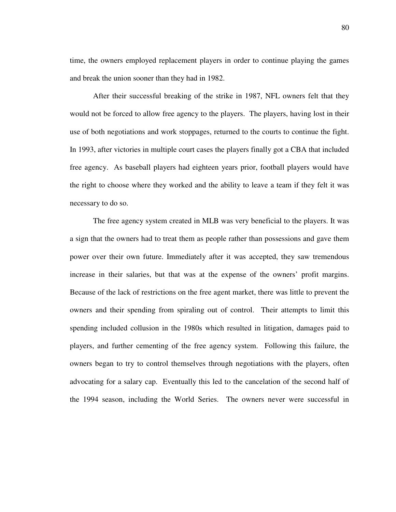time, the owners employed replacement players in order to continue playing the games and break the union sooner than they had in 1982.

After their successful breaking of the strike in 1987, NFL owners felt that they would not be forced to allow free agency to the players. The players, having lost in their use of both negotiations and work stoppages, returned to the courts to continue the fight. In 1993, after victories in multiple court cases the players finally got a CBA that included free agency. As baseball players had eighteen years prior, football players would have the right to choose where they worked and the ability to leave a team if they felt it was necessary to do so.

The free agency system created in MLB was very beneficial to the players. It was a sign that the owners had to treat them as people rather than possessions and gave them power over their own future. Immediately after it was accepted, they saw tremendous increase in their salaries, but that was at the expense of the owners' profit margins. Because of the lack of restrictions on the free agent market, there was little to prevent the owners and their spending from spiraling out of control. Their attempts to limit this spending included collusion in the 1980s which resulted in litigation, damages paid to players, and further cementing of the free agency system. Following this failure, the owners began to try to control themselves through negotiations with the players, often advocating for a salary cap. Eventually this led to the cancelation of the second half of the 1994 season, including the World Series. The owners never were successful in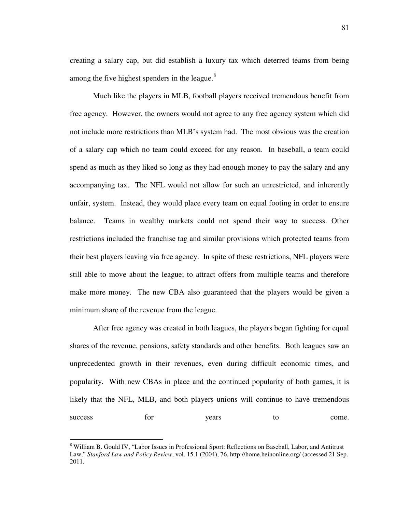creating a salary cap, but did establish a luxury tax which deterred teams from being among the five highest spenders in the league. $8$ 

Much like the players in MLB, football players received tremendous benefit from free agency. However, the owners would not agree to any free agency system which did not include more restrictions than MLB's system had. The most obvious was the creation of a salary cap which no team could exceed for any reason. In baseball, a team could spend as much as they liked so long as they had enough money to pay the salary and any accompanying tax. The NFL would not allow for such an unrestricted, and inherently unfair, system. Instead, they would place every team on equal footing in order to ensure balance. Teams in wealthy markets could not spend their way to success. Other restrictions included the franchise tag and similar provisions which protected teams from their best players leaving via free agency. In spite of these restrictions, NFL players were still able to move about the league; to attract offers from multiple teams and therefore make more money. The new CBA also guaranteed that the players would be given a minimum share of the revenue from the league.

After free agency was created in both leagues, the players began fighting for equal shares of the revenue, pensions, safety standards and other benefits. Both leagues saw an unprecedented growth in their revenues, even during difficult economic times, and popularity. With new CBAs in place and the continued popularity of both games, it is likely that the NFL, MLB, and both players unions will continue to have tremendous success for years to come.

<sup>&</sup>lt;sup>8</sup> William B. Gould IV, "Labor Issues in Professional Sport: Reflections on Baseball, Labor, and Antitrust Law," *Stanford Law and Policy Review*, vol. 15.1 (2004), 76, http://home.heinonline.org/ (accessed 21 Sep. 2011.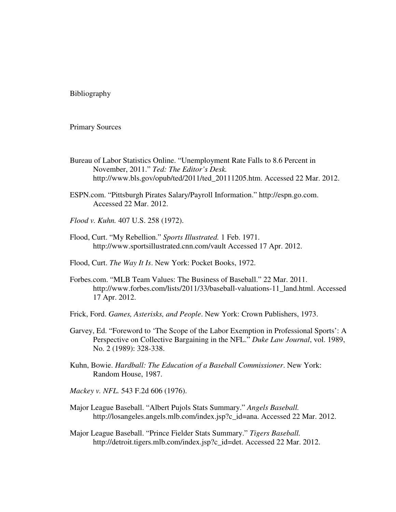Bibliography

Primary Sources

- Bureau of Labor Statistics Online. "Unemployment Rate Falls to 8.6 Percent in November, 2011." *Ted: The Editor's Desk.* http://www.bls.gov/opub/ted/2011/ted\_20111205.htm. Accessed 22 Mar. 2012.
- ESPN.com. "Pittsburgh Pirates Salary/Payroll Information." http://espn.go.com. Accessed 22 Mar. 2012.
- *Flood v. Kuhn.* 407 U.S. 258 (1972).
- Flood, Curt. "My Rebellion." *Sports Illustrated.* 1 Feb. 1971. http://www.sportsillustrated.cnn.com/vault Accessed 17 Apr. 2012.
- Flood, Curt. *The Way It Is*. New York: Pocket Books, 1972.
- Forbes.com. "MLB Team Values: The Business of Baseball." 22 Mar. 2011. http://www.forbes.com/lists/2011/33/baseball-valuations-11\_land.html. Accessed 17 Apr. 2012.
- Frick, Ford. *Games, Asterisks, and People*. New York: Crown Publishers, 1973.
- Garvey, Ed. "Foreword to 'The Scope of the Labor Exemption in Professional Sports': A Perspective on Collective Bargaining in the NFL." *Duke Law Journal*, vol. 1989, No. 2 (1989): 328-338.
- Kuhn, Bowie. *Hardball: The Education of a Baseball Commissioner*. New York: Random House, 1987.
- *Mackey v. NFL.* 543 F.2d 606 (1976).
- Major League Baseball. "Albert Pujols Stats Summary." *Angels Baseball.* http://losangeles.angels.mlb.com/index.jsp?c\_id=ana. Accessed 22 Mar. 2012.
- Major League Baseball. "Prince Fielder Stats Summary." *Tigers Baseball.* http://detroit.tigers.mlb.com/index.jsp?c\_id=det. Accessed 22 Mar. 2012.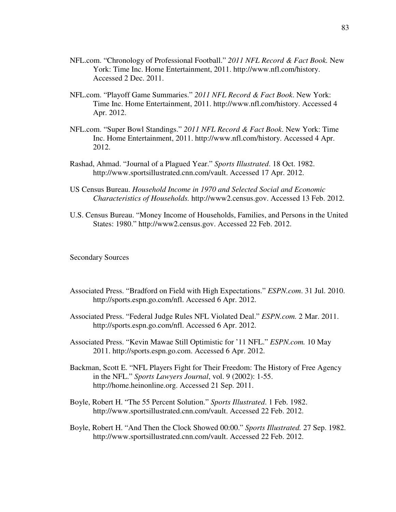- NFL.com. "Chronology of Professional Football." *2011 NFL Record & Fact Book.* New York: Time Inc. Home Entertainment, 2011. http://www.nfl.com/history. Accessed 2 Dec. 2011.
- NFL.com. "Playoff Game Summaries." *2011 NFL Record & Fact Book*. New York: Time Inc. Home Entertainment, 2011. http://www.nfl.com/history. Accessed 4 Apr. 2012.
- NFL.com. "Super Bowl Standings." *2011 NFL Record & Fact Book*. New York: Time Inc. Home Entertainment, 2011. http://www.nfl.com/history. Accessed 4 Apr. 2012.
- Rashad, Ahmad. "Journal of a Plagued Year." *Sports Illustrated*. 18 Oct. 1982. http://www.sportsillustrated.cnn.com/vault. Accessed 17 Apr. 2012.
- US Census Bureau. *Household Income in 1970 and Selected Social and Economic Characteristics of Households.* http://www2.census.gov. Accessed 13 Feb. 2012.
- U.S. Census Bureau. "Money Income of Households, Families, and Persons in the United States: 1980." http://www2.census.gov. Accessed 22 Feb. 2012.

Secondary Sources

- Associated Press. "Bradford on Field with High Expectations." *ESPN.com*. 31 Jul. 2010. http://sports.espn.go.com/nfl. Accessed 6 Apr. 2012.
- Associated Press. "Federal Judge Rules NFL Violated Deal." *ESPN.com.* 2 Mar. 2011. http://sports.espn.go.com/nfl. Accessed 6 Apr. 2012.
- Associated Press. "Kevin Mawae Still Optimistic for '11 NFL." *ESPN.com.* 10 May 2011. http://sports.espn.go.com. Accessed 6 Apr. 2012.
- Backman, Scott E. "NFL Players Fight for Their Freedom: The History of Free Agency in the NFL." *Sports Lawyers Journal*, vol. 9 (2002): 1-55. http://home.heinonline.org. Accessed 21 Sep. 2011.
- Boyle, Robert H. "The 55 Percent Solution." *Sports Illustrated*. 1 Feb. 1982. http://www.sportsillustrated.cnn.com/vault. Accessed 22 Feb. 2012.
- Boyle, Robert H. "And Then the Clock Showed 00:00." *Sports Illustrated.* 27 Sep. 1982. http://www.sportsillustrated.cnn.com/vault. Accessed 22 Feb. 2012.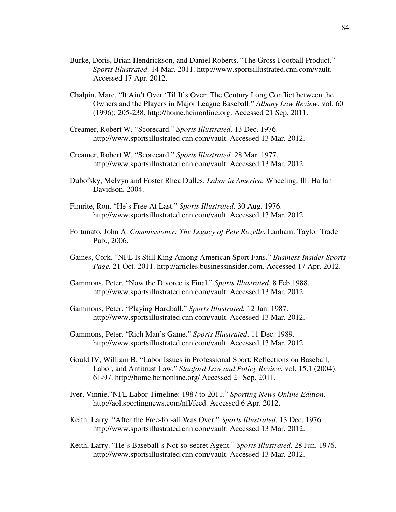- Burke, Doris, Brian Hendrickson, and Daniel Roberts. "The Gross Football Product." *Sports Illustrated*. 14 Mar. 2011. http://www.sportsillustrated.cnn.com/vault. Accessed 17 Apr. 2012.
- Chalpin, Marc. "It Ain't Over 'Til It's Over: The Century Long Conflict between the Owners and the Players in Major League Baseball." *Albany Law Review*, vol. 60 (1996): 205-238. http://home.heinonline.org. Accessed 21 Sep. 2011.
- Creamer, Robert W. "Scorecard." *Sports Illustrated*. 13 Dec. 1976. http://www.sportsillustrated.cnn.com/vault. Accessed 13 Mar. 2012.
- Creamer, Robert W. "Scorecard." *Sports Illustrated.* 28 Mar. 1977. http://www.sportsillustrated.cnn.com/vault. Accessed 13 Mar. 2012.
- Dubofsky, Melvyn and Foster Rhea Dulles. *Labor in America.* Wheeling, Ill: Harlan Davidson, 2004.
- Fimrite, Ron. "He's Free At Last." *Sports Illustrated*. 30 Aug. 1976. http://www.sportsillustrated.cnn.com/vault. Accessed 13 Mar. 2012.
- Fortunato, John A. *Commissioner: The Legacy of Pete Rozelle.* Lanham: Taylor Trade Pub., 2006.
- Gaines, Cork. "NFL Is Still King Among American Sport Fans." *Business Insider Sports Page.* 21 Oct. 2011. http://articles.businessinsider.com. Accessed 17 Apr. 2012.
- Gammons, Peter. "Now the Divorce is Final." *Sports Illustrated*. 8 Feb.1988. http://www.sportsillustrated.cnn.com/vault. Accessed 13 Mar. 2012.
- Gammons, Peter. "Playing Hardball." *Sports Illustrated.* 12 Jan. 1987. http://www.sportsillustrated.cnn.com/vault. Accessed 13 Mar. 2012.
- Gammons, Peter. "Rich Man's Game." *Sports Illustrated*. 11 Dec. 1989. http://www.sportsillustrated.cnn.com/vault. Accessed 13 Mar. 2012.
- Gould IV, William B. "Labor Issues in Professional Sport: Reflections on Baseball, Labor, and Antitrust Law." *Stanford Law and Policy Review*, vol. 15.1 (2004): 61-97. http://home.heinonline.org/ Accessed 21 Sep. 2011.
- Iyer, Vinnie."NFL Labor Timeline: 1987 to 2011." *Sporting News Online Edition*. http://aol.sportingnews.com/nfl/feed. Accessed 6 Apr. 2012.
- Keith, Larry. "After the Free-for-all Was Over." *Sports Illustrated.* 13 Dec. 1976. http://www.sportsillustrated.cnn.com/vault. Accessed 13 Mar. 2012.
- Keith, Larry. "He's Baseball's Not-so-secret Agent." *Sports Illustrated*. 28 Jun. 1976. http://www.sportsillustrated.cnn.com/vault. Accessed 13 Mar. 2012.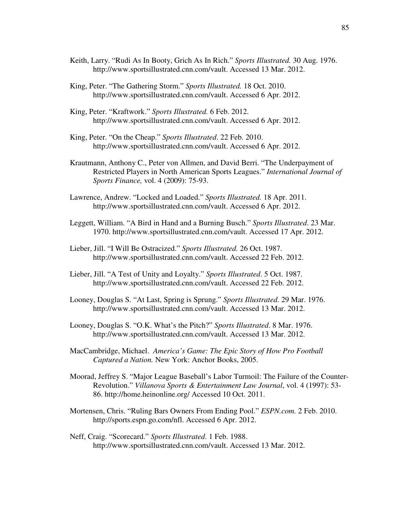- Keith, Larry. "Rudi As In Booty, Grich As In Rich." *Sports Illustrated.* 30 Aug. 1976. http://www.sportsillustrated.cnn.com/vault. Accessed 13 Mar. 2012.
- King, Peter. "The Gathering Storm." *Sports Illustrated.* 18 Oct. 2010. http://www.sportsillustrated.cnn.com/vault. Accessed 6 Apr. 2012.
- King, Peter. "Kraftwork." *Sports Illustrated.* 6 Feb. 2012. http://www.sportsillustrated.cnn.com/vault. Accessed 6 Apr. 2012.
- King, Peter. "On the Cheap." *Sports Illustrated*. 22 Feb. 2010. http://www.sportsillustrated.cnn.com/vault. Accessed 6 Apr. 2012.
- Krautmann, Anthony C., Peter von Allmen, and David Berri. "The Underpayment of Restricted Players in North American Sports Leagues." *International Journal of Sports Finance,* vol. 4 (2009): 75-93.
- Lawrence, Andrew. "Locked and Loaded." *Sports Illustrated.* 18 Apr. 2011. http://www.sportsillustrated.cnn.com/vault. Accessed 6 Apr. 2012.
- Leggett, William. "A Bird in Hand and a Burning Busch." *Sports Illustrated*. 23 Mar. 1970. http://www.sportsillustrated.cnn.com/vault. Accessed 17 Apr. 2012.
- Lieber, Jill. "I Will Be Ostracized." *Sports Illustrated.* 26 Oct. 1987. http://www.sportsillustrated.cnn.com/vault. Accessed 22 Feb. 2012.
- Lieber, Jill. "A Test of Unity and Loyalty." *Sports Illustrated*. 5 Oct. 1987. http://www.sportsillustrated.cnn.com/vault. Accessed 22 Feb. 2012.
- Looney, Douglas S. "At Last, Spring is Sprung." *Sports Illustrated*. 29 Mar. 1976. http://www.sportsillustrated.cnn.com/vault. Accessed 13 Mar. 2012.
- Looney, Douglas S. "O.K. What's the Pitch?" *Sports Illustrated*. 8 Mar. 1976. http://www.sportsillustrated.cnn.com/vault. Accessed 13 Mar. 2012.
- MacCambridge, Michael. *America's Game: The Epic Story of How Pro Football Captured a Nation.* New York: Anchor Books, 2005.
- Moorad, Jeffrey S. "Major League Baseball's Labor Turmoil: The Failure of the Counter-Revolution." *Villanova Sports & Entertainment Law Journal*, vol. 4 (1997): 53- 86. http://home.heinonline.org/ Accessed 10 Oct. 2011.
- Mortensen, Chris. "Ruling Bars Owners From Ending Pool." *ESPN.com.* 2 Feb. 2010. http://sports.espn.go.com/nfl. Accessed 6 Apr. 2012.
- Neff, Craig. "Scorecard." *Sports Illustrated*. 1 Feb. 1988. http://www.sportsillustrated.cnn.com/vault. Accessed 13 Mar. 2012.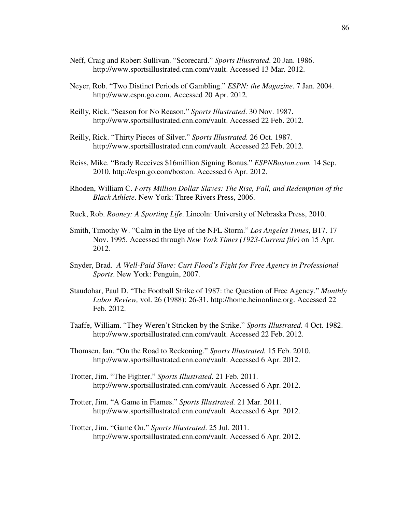- Neff, Craig and Robert Sullivan. "Scorecard." *Sports Illustrated*. 20 Jan. 1986. http://www.sportsillustrated.cnn.com/vault. Accessed 13 Mar. 2012.
- Neyer, Rob. "Two Distinct Periods of Gambling." *ESPN: the Magazine*. 7 Jan. 2004. http://www.espn.go.com. Accessed 20 Apr. 2012.
- Reilly, Rick. "Season for No Reason." *Sports Illustrated*. 30 Nov. 1987. http://www.sportsillustrated.cnn.com/vault. Accessed 22 Feb. 2012.
- Reilly, Rick. "Thirty Pieces of Silver." *Sports Illustrated.* 26 Oct. 1987. http://www.sportsillustrated.cnn.com/vault. Accessed 22 Feb. 2012.
- Reiss, Mike. "Brady Receives \$16million Signing Bonus." *ESPNBoston.com.* 14 Sep. 2010. http://espn.go.com/boston. Accessed 6 Apr. 2012.
- Rhoden, William C. *Forty Million Dollar Slaves: The Rise, Fall, and Redemption of the Black Athlete*. New York: Three Rivers Press, 2006.
- Ruck, Rob. *Rooney: A Sporting Life*. Lincoln: University of Nebraska Press, 2010.
- Smith, Timothy W. "Calm in the Eye of the NFL Storm." *Los Angeles Times*, B17. 17 Nov. 1995. Accessed through *New York Times (1923-Current file)* on 15 Apr. 2012*.*
- Snyder, Brad. *A Well-Paid Slave: Curt Flood's Fight for Free Agency in Professional Sports*. New York: Penguin, 2007.
- Staudohar, Paul D. "The Football Strike of 1987: the Question of Free Agency." *Monthly Labor Review,* vol. 26 (1988): 26-31. http://home.heinonline.org. Accessed 22 Feb. 2012.
- Taaffe, William. "They Weren't Stricken by the Strike." *Sports Illustrated*. 4 Oct. 1982. http://www.sportsillustrated.cnn.com/vault. Accessed 22 Feb. 2012.
- Thomsen, Ian. "On the Road to Reckoning." *Sports Illustrated.* 15 Feb. 2010. http://www.sportsillustrated.cnn.com/vault. Accessed 6 Apr. 2012.
- Trotter, Jim. "The Fighter." *Sports Illustrated*. 21 Feb. 2011. http://www.sportsillustrated.cnn.com/vault. Accessed 6 Apr. 2012.
- Trotter, Jim. "A Game in Flames." *Sports Illustrated.* 21 Mar. 2011. http://www.sportsillustrated.cnn.com/vault. Accessed 6 Apr. 2012.
- Trotter, Jim. "Game On." *Sports Illustrated*. 25 Jul. 2011. http://www.sportsillustrated.cnn.com/vault. Accessed 6 Apr. 2012.